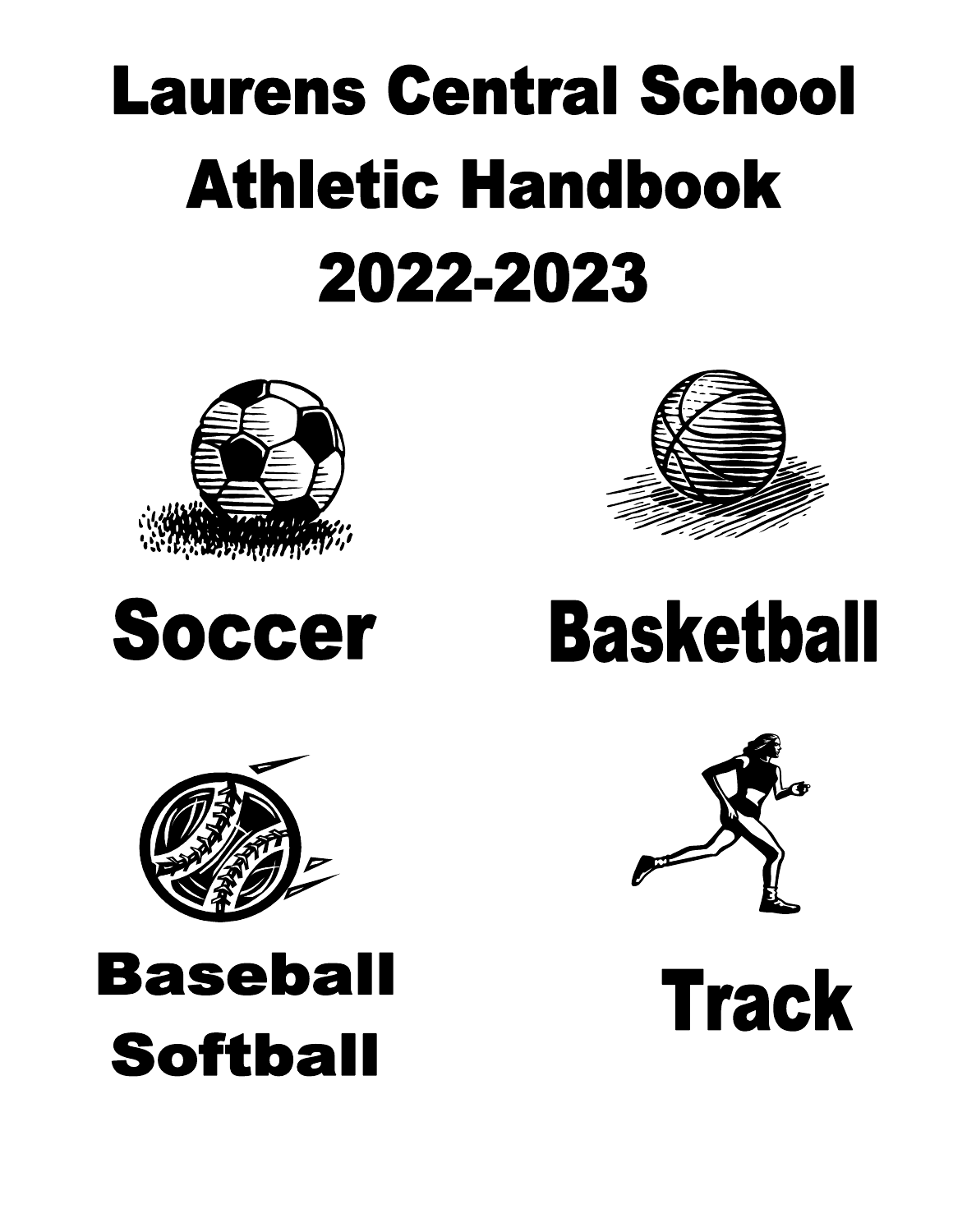# **Laurens Central School Athletic Handbook** 2022-2023







## **Baseball Softball**



# **Basketball**



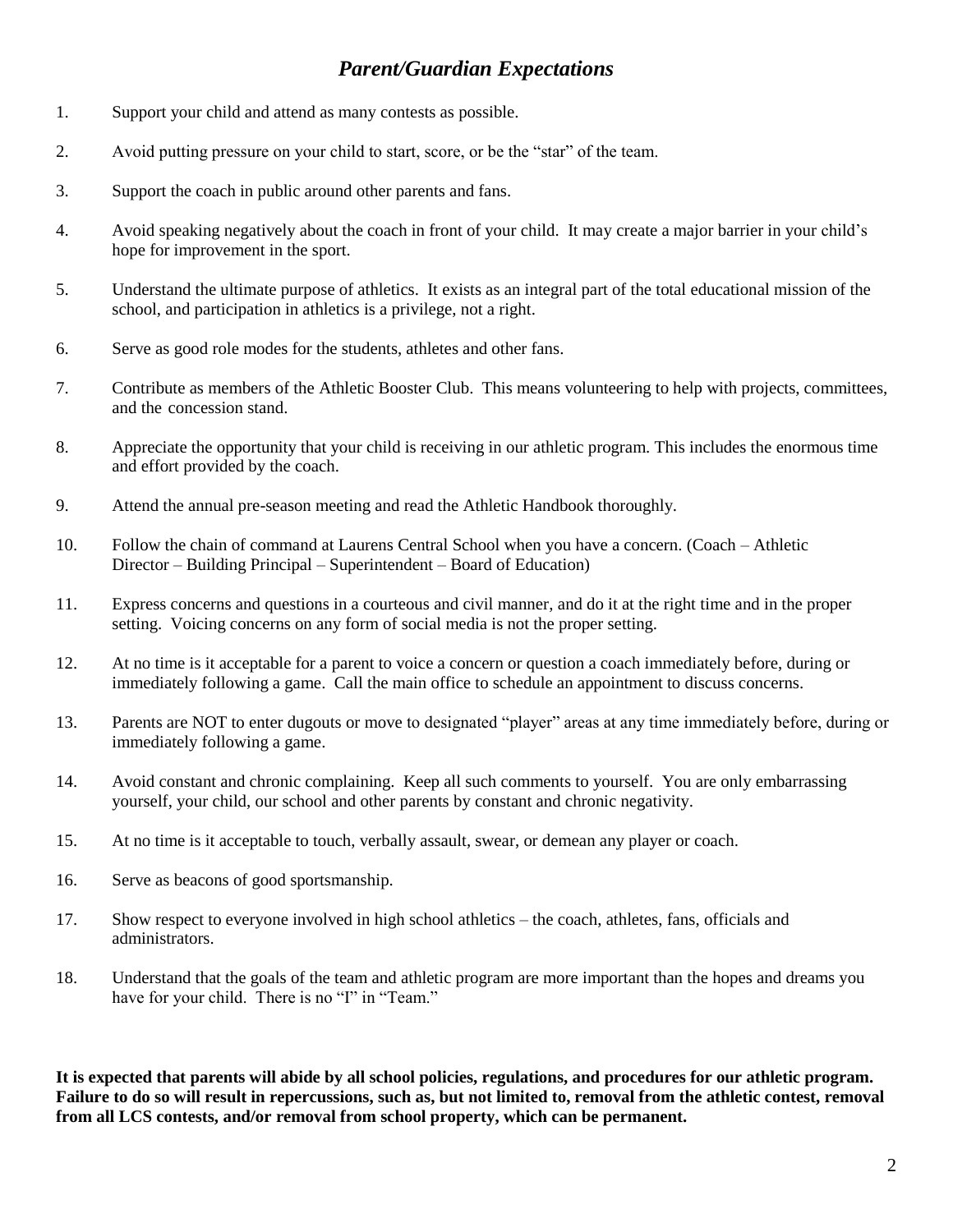#### *Parent/Guardian Expectations*

- 1. Support your child and attend as many contests as possible.
- 2. Avoid putting pressure on your child to start, score, or be the "star" of the team.
- 3. Support the coach in public around other parents and fans.
- 4. Avoid speaking negatively about the coach in front of your child. It may create a major barrier in your child's hope for improvement in the sport.
- 5. Understand the ultimate purpose of athletics. It exists as an integral part of the total educational mission of the school, and participation in athletics is a privilege, not a right.
- 6. Serve as good role modes for the students, athletes and other fans.
- 7. Contribute as members of the Athletic Booster Club. This means volunteering to help with projects, committees, and the concession stand.
- 8. Appreciate the opportunity that your child is receiving in our athletic program. This includes the enormous time and effort provided by the coach.
- 9. Attend the annual pre-season meeting and read the Athletic Handbook thoroughly.
- 10. Follow the chain of command at Laurens Central School when you have a concern. (Coach Athletic Director – Building Principal – Superintendent – Board of Education)
- 11. Express concerns and questions in a courteous and civil manner, and do it at the right time and in the proper setting. Voicing concerns on any form of social media is not the proper setting.
- 12. At no time is it acceptable for a parent to voice a concern or question a coach immediately before, during or immediately following a game. Call the main office to schedule an appointment to discuss concerns.
- 13. Parents are NOT to enter dugouts or move to designated "player" areas at any time immediately before, during or immediately following a game.
- 14. Avoid constant and chronic complaining. Keep all such comments to yourself. You are only embarrassing yourself, your child, our school and other parents by constant and chronic negativity.
- 15. At no time is it acceptable to touch, verbally assault, swear, or demean any player or coach.
- 16. Serve as beacons of good sportsmanship.
- 17. Show respect to everyone involved in high school athletics the coach, athletes, fans, officials and administrators.
- 18. Understand that the goals of the team and athletic program are more important than the hopes and dreams you have for your child. There is no "I" in "Team."

**It is expected that parents will abide by all school policies, regulations, and procedures for our athletic program. Failure to do so will result in repercussions, such as, but not limited to, removal from the athletic contest, removal from all LCS contests, and/or removal from school property, which can be permanent.**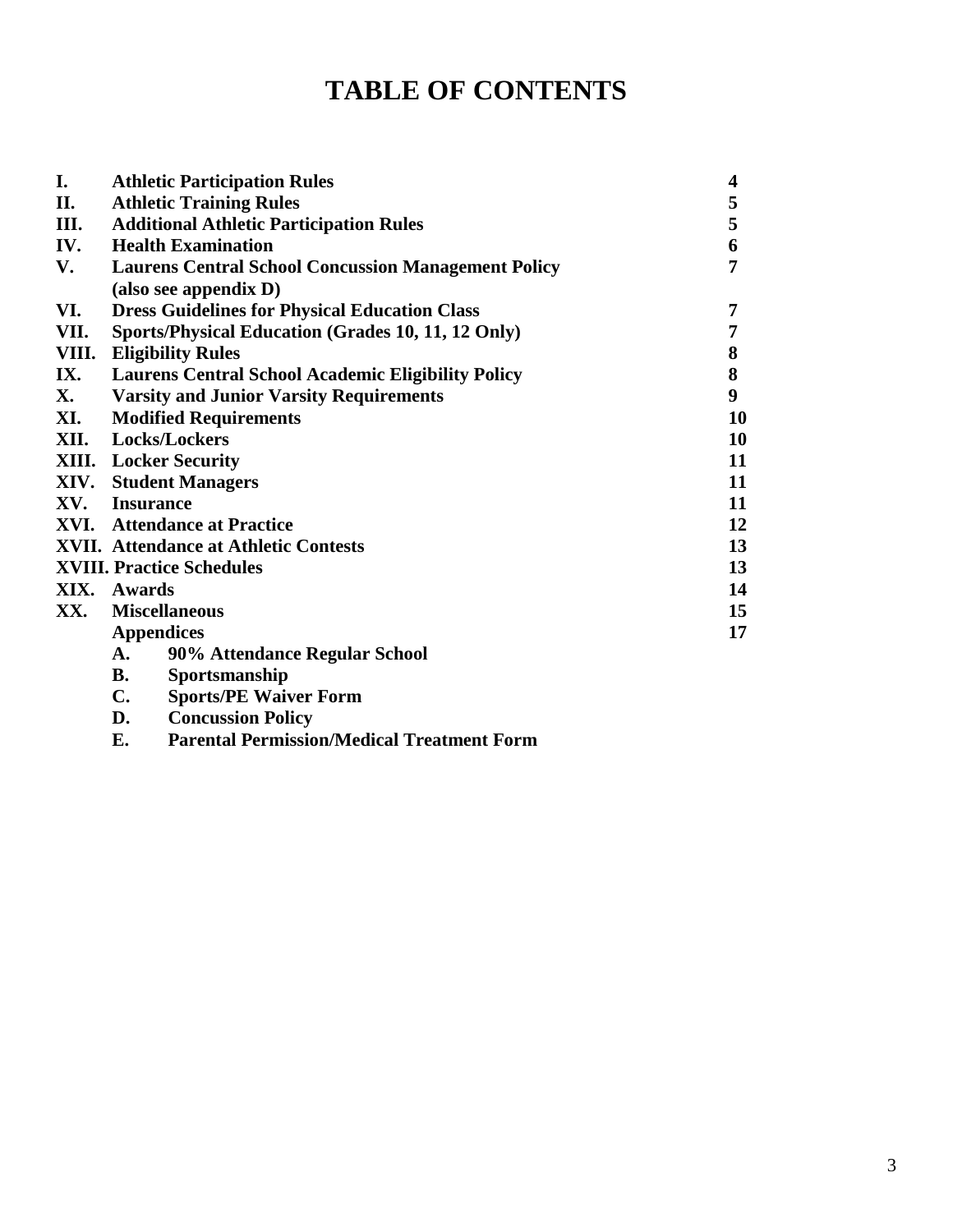### **TABLE OF CONTENTS**

| I.    | <b>Athletic Participation Rules</b>                        |    |  |  |  |  |
|-------|------------------------------------------------------------|----|--|--|--|--|
| П.    | <b>Athletic Training Rules</b>                             | 5  |  |  |  |  |
| Ш.    | <b>Additional Athletic Participation Rules</b>             | 5  |  |  |  |  |
| IV.   | <b>Health Examination</b>                                  | 6  |  |  |  |  |
| V.    | <b>Laurens Central School Concussion Management Policy</b> | 7  |  |  |  |  |
|       | (also see appendix D)                                      |    |  |  |  |  |
| VI.   | <b>Dress Guidelines for Physical Education Class</b>       | 7  |  |  |  |  |
| VII.  | Sports/Physical Education (Grades 10, 11, 12 Only)         | 7  |  |  |  |  |
| VIII. | <b>Eligibility Rules</b>                                   | 8  |  |  |  |  |
| IX.   | <b>Laurens Central School Academic Eligibility Policy</b>  | 8  |  |  |  |  |
| X.    | <b>Varsity and Junior Varsity Requirements</b>             | 9  |  |  |  |  |
| XI.   | <b>Modified Requirements</b>                               | 10 |  |  |  |  |
|       | 10<br>XII. Locks/Lockers                                   |    |  |  |  |  |
|       | <b>XIII.</b> Locker Security                               | 11 |  |  |  |  |
|       | <b>XIV.</b> Student Managers                               | 11 |  |  |  |  |
|       | XV. Insurance                                              | 11 |  |  |  |  |
|       | <b>XVI.</b> Attendance at Practice                         | 12 |  |  |  |  |
|       | <b>XVII.</b> Attendance at Athletic Contests               | 13 |  |  |  |  |
|       | <b>XVIII. Practice Schedules</b>                           | 13 |  |  |  |  |
|       | XIX. Awards                                                | 14 |  |  |  |  |
| XX.   | <b>Miscellaneous</b>                                       | 15 |  |  |  |  |
|       | <b>Appendices</b>                                          | 17 |  |  |  |  |
|       | 90% Attendance Regular School<br><b>A.</b>                 |    |  |  |  |  |
|       | <b>B.</b><br>Sportsmanship                                 |    |  |  |  |  |
|       | <b>Sports/PE Waiver Form</b><br><b>C.</b>                  |    |  |  |  |  |
|       | D.<br><b>Concussion Policy</b>                             |    |  |  |  |  |

**E. Parental Permission/Medical Treatment Form**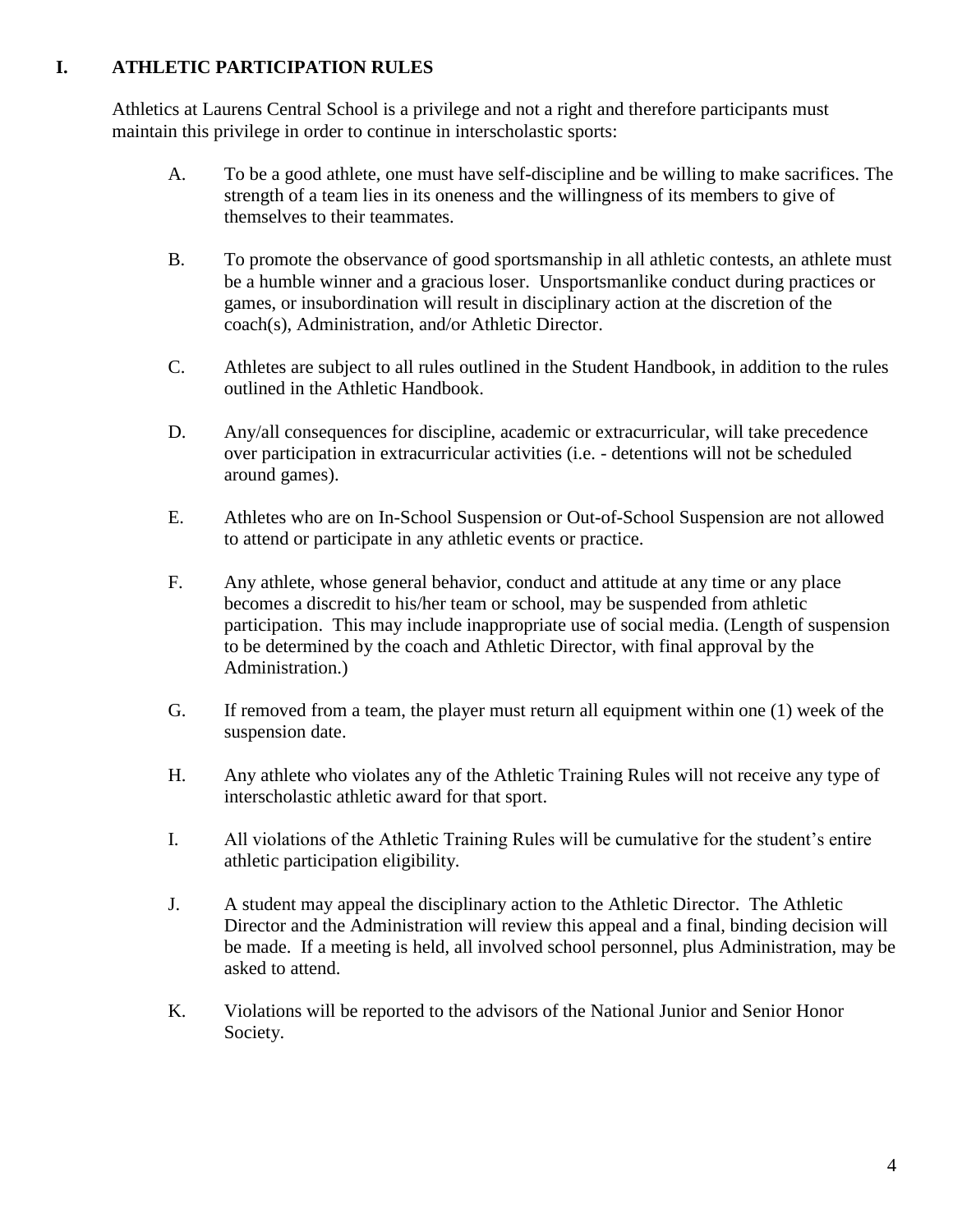#### **I. ATHLETIC PARTICIPATION RULES**

Athletics at Laurens Central School is a privilege and not a right and therefore participants must maintain this privilege in order to continue in interscholastic sports:

- A. To be a good athlete, one must have self-discipline and be willing to make sacrifices. The strength of a team lies in its oneness and the willingness of its members to give of themselves to their teammates.
- B. To promote the observance of good sportsmanship in all athletic contests, an athlete must be a humble winner and a gracious loser. Unsportsmanlike conduct during practices or games, or insubordination will result in disciplinary action at the discretion of the coach(s), Administration, and/or Athletic Director.
- C. Athletes are subject to all rules outlined in the Student Handbook, in addition to the rules outlined in the Athletic Handbook.
- D. Any/all consequences for discipline, academic or extracurricular, will take precedence over participation in extracurricular activities (i.e. - detentions will not be scheduled around games).
- E. Athletes who are on In-School Suspension or Out-of-School Suspension are not allowed to attend or participate in any athletic events or practice.
- F. Any athlete, whose general behavior, conduct and attitude at any time or any place becomes a discredit to his/her team or school, may be suspended from athletic participation. This may include inappropriate use of social media. (Length of suspension to be determined by the coach and Athletic Director, with final approval by the Administration.)
- G. If removed from a team, the player must return all equipment within one (1) week of the suspension date.
- H. Any athlete who violates any of the Athletic Training Rules will not receive any type of interscholastic athletic award for that sport.
- I. All violations of the Athletic Training Rules will be cumulative for the student's entire athletic participation eligibility.
- J. A student may appeal the disciplinary action to the Athletic Director. The Athletic Director and the Administration will review this appeal and a final, binding decision will be made. If a meeting is held, all involved school personnel, plus Administration, may be asked to attend.
- K. Violations will be reported to the advisors of the National Junior and Senior Honor Society.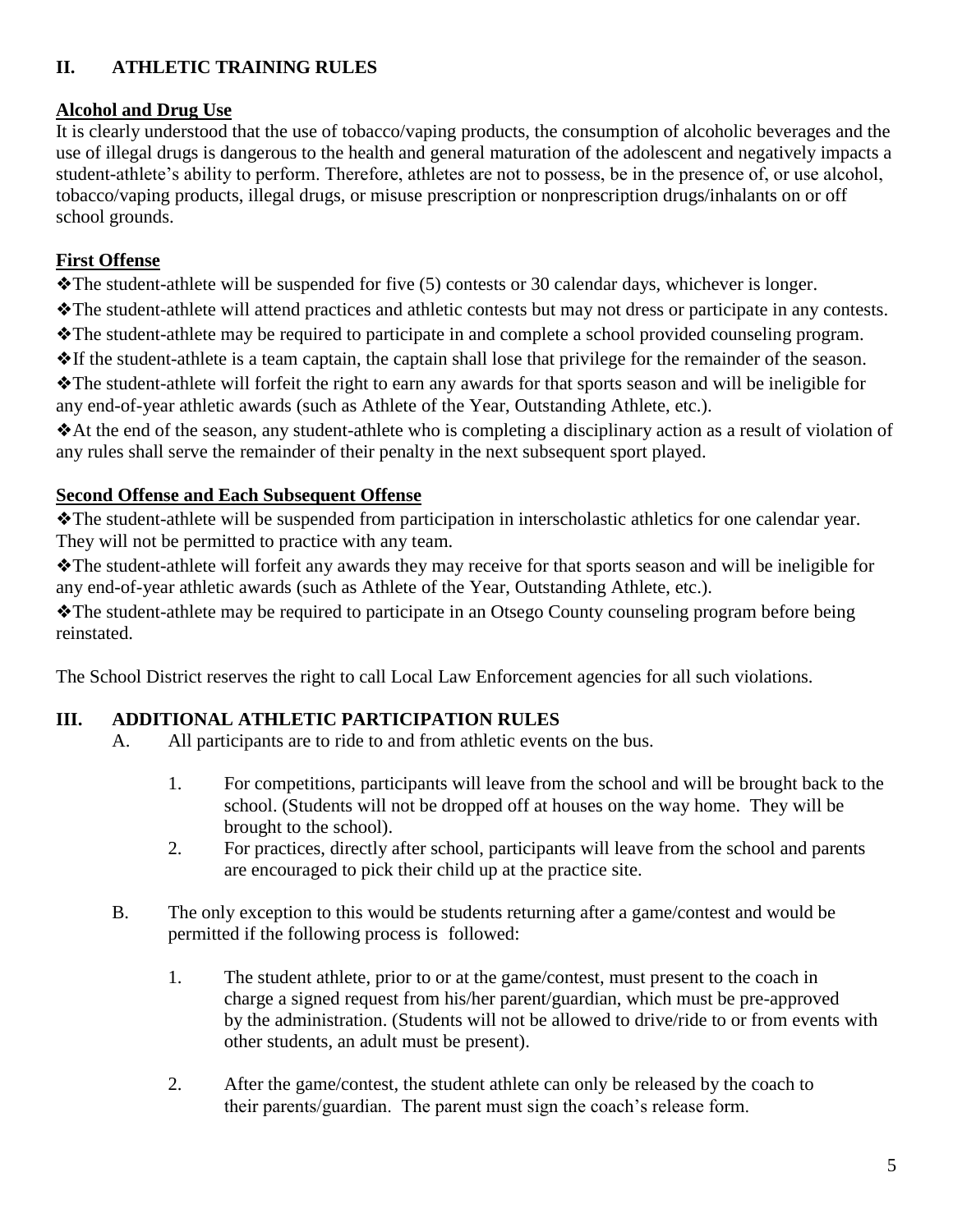#### **II. ATHLETIC TRAINING RULES**

#### **Alcohol and Drug Use**

It is clearly understood that the use of tobacco/vaping products, the consumption of alcoholic beverages and the use of illegal drugs is dangerous to the health and general maturation of the adolescent and negatively impacts a student-athlete's ability to perform. Therefore, athletes are not to possess, be in the presence of, or use alcohol, tobacco/vaping products, illegal drugs, or misuse prescription or nonprescription drugs/inhalants on or off school grounds.

#### **First Offense**

❖The student-athlete will be suspended for five (5) contests or 30 calendar days, whichever is longer.

❖The student-athlete will attend practices and athletic contests but may not dress or participate in any contests.

❖The student-athlete may be required to participate in and complete a school provided counseling program.

❖If the student-athlete is a team captain, the captain shall lose that privilege for the remainder of the season.

❖The student-athlete will forfeit the right to earn any awards for that sports season and will be ineligible for any end-of-year athletic awards (such as Athlete of the Year, Outstanding Athlete, etc.).

❖At the end of the season, any student-athlete who is completing a disciplinary action as a result of violation of any rules shall serve the remainder of their penalty in the next subsequent sport played.

#### **Second Offense and Each Subsequent Offense**

❖The student-athlete will be suspended from participation in interscholastic athletics for one calendar year. They will not be permitted to practice with any team.

❖The student-athlete will forfeit any awards they may receive for that sports season and will be ineligible for any end-of-year athletic awards (such as Athlete of the Year, Outstanding Athlete, etc.).

❖The student-athlete may be required to participate in an Otsego County counseling program before being reinstated.

The School District reserves the right to call Local Law Enforcement agencies for all such violations.

#### **III. ADDITIONAL ATHLETIC PARTICIPATION RULES**

- A. All participants are to ride to and from athletic events on the bus.
	- 1. For competitions, participants will leave from the school and will be brought back to the school. (Students will not be dropped off at houses on the way home. They will be brought to the school).
	- 2. For practices, directly after school, participants will leave from the school and parents are encouraged to pick their child up at the practice site.
- B. The only exception to this would be students returning after a game/contest and would be permitted if the following process is followed:
	- 1. The student athlete, prior to or at the game/contest, must present to the coach in charge a signed request from his/her parent/guardian, which must be pre-approved by the administration. (Students will not be allowed to drive/ride to or from events with other students, an adult must be present).
	- 2. After the game/contest, the student athlete can only be released by the coach to their parents/guardian. The parent must sign the coach's release form.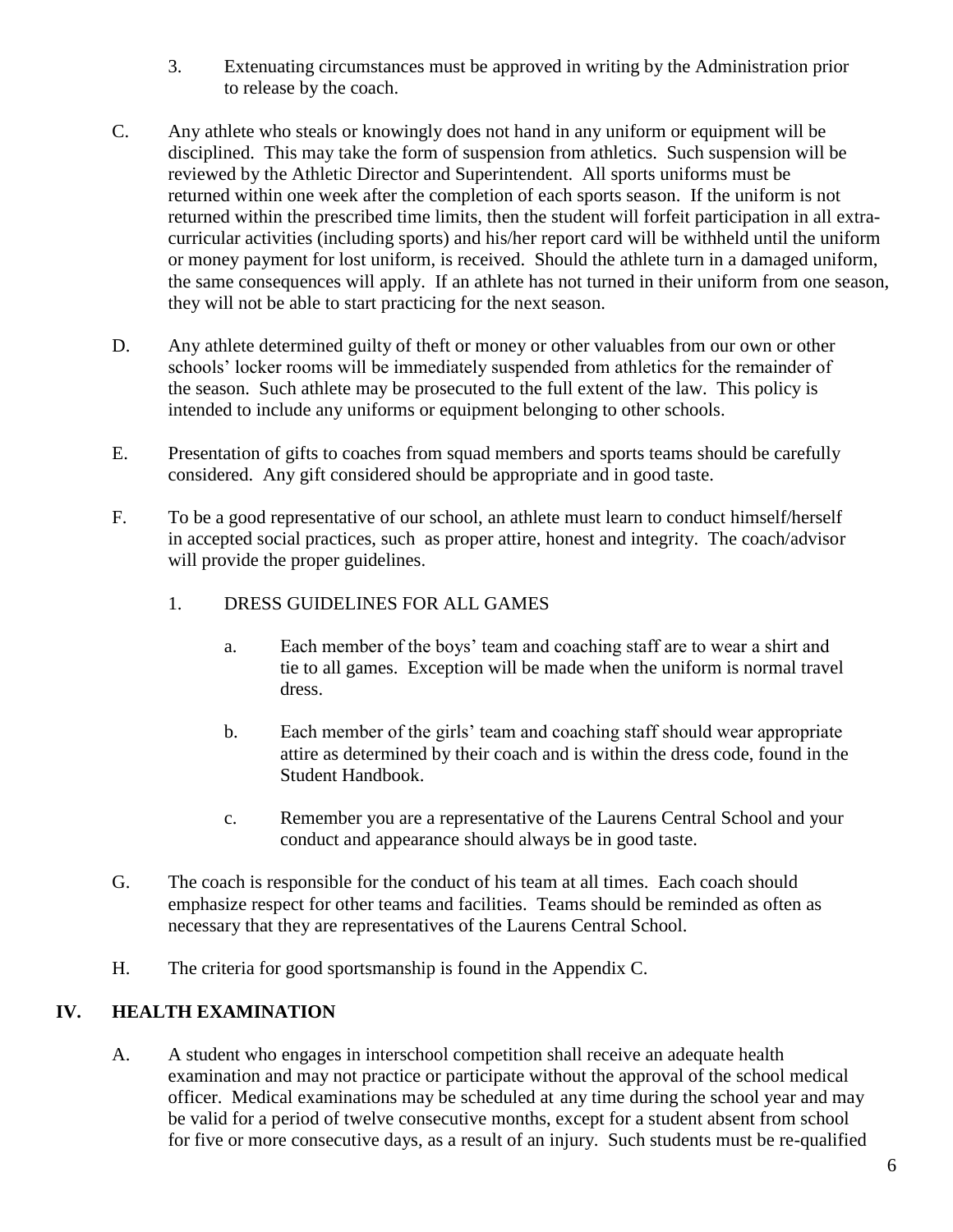- 3. Extenuating circumstances must be approved in writing by the Administration prior to release by the coach.
- C. Any athlete who steals or knowingly does not hand in any uniform or equipment will be disciplined. This may take the form of suspension from athletics. Such suspension will be reviewed by the Athletic Director and Superintendent. All sports uniforms must be returned within one week after the completion of each sports season. If the uniform is not returned within the prescribed time limits, then the student will forfeit participation in all extracurricular activities (including sports) and his/her report card will be withheld until the uniform or money payment for lost uniform, is received. Should the athlete turn in a damaged uniform, the same consequences will apply. If an athlete has not turned in their uniform from one season, they will not be able to start practicing for the next season.
- D. Any athlete determined guilty of theft or money or other valuables from our own or other schools' locker rooms will be immediately suspended from athletics for the remainder of the season. Such athlete may be prosecuted to the full extent of the law. This policy is intended to include any uniforms or equipment belonging to other schools.
- E. Presentation of gifts to coaches from squad members and sports teams should be carefully considered. Any gift considered should be appropriate and in good taste.
- F. To be a good representative of our school, an athlete must learn to conduct himself/herself in accepted social practices, such as proper attire, honest and integrity. The coach/advisor will provide the proper guidelines.
	- 1. DRESS GUIDELINES FOR ALL GAMES
		- a. Each member of the boys' team and coaching staff are to wear a shirt and tie to all games. Exception will be made when the uniform is normal travel dress.
		- b. Each member of the girls' team and coaching staff should wear appropriate attire as determined by their coach and is within the dress code, found in the Student Handbook.
		- c. Remember you are a representative of the Laurens Central School and your conduct and appearance should always be in good taste.
- G. The coach is responsible for the conduct of his team at all times. Each coach should emphasize respect for other teams and facilities. Teams should be reminded as often as necessary that they are representatives of the Laurens Central School.
- H. The criteria for good sportsmanship is found in the Appendix C.

#### **IV. HEALTH EXAMINATION**

A. A student who engages in interschool competition shall receive an adequate health examination and may not practice or participate without the approval of the school medical officer. Medical examinations may be scheduled at any time during the school year and may be valid for a period of twelve consecutive months, except for a student absent from school for five or more consecutive days, as a result of an injury. Such students must be re-qualified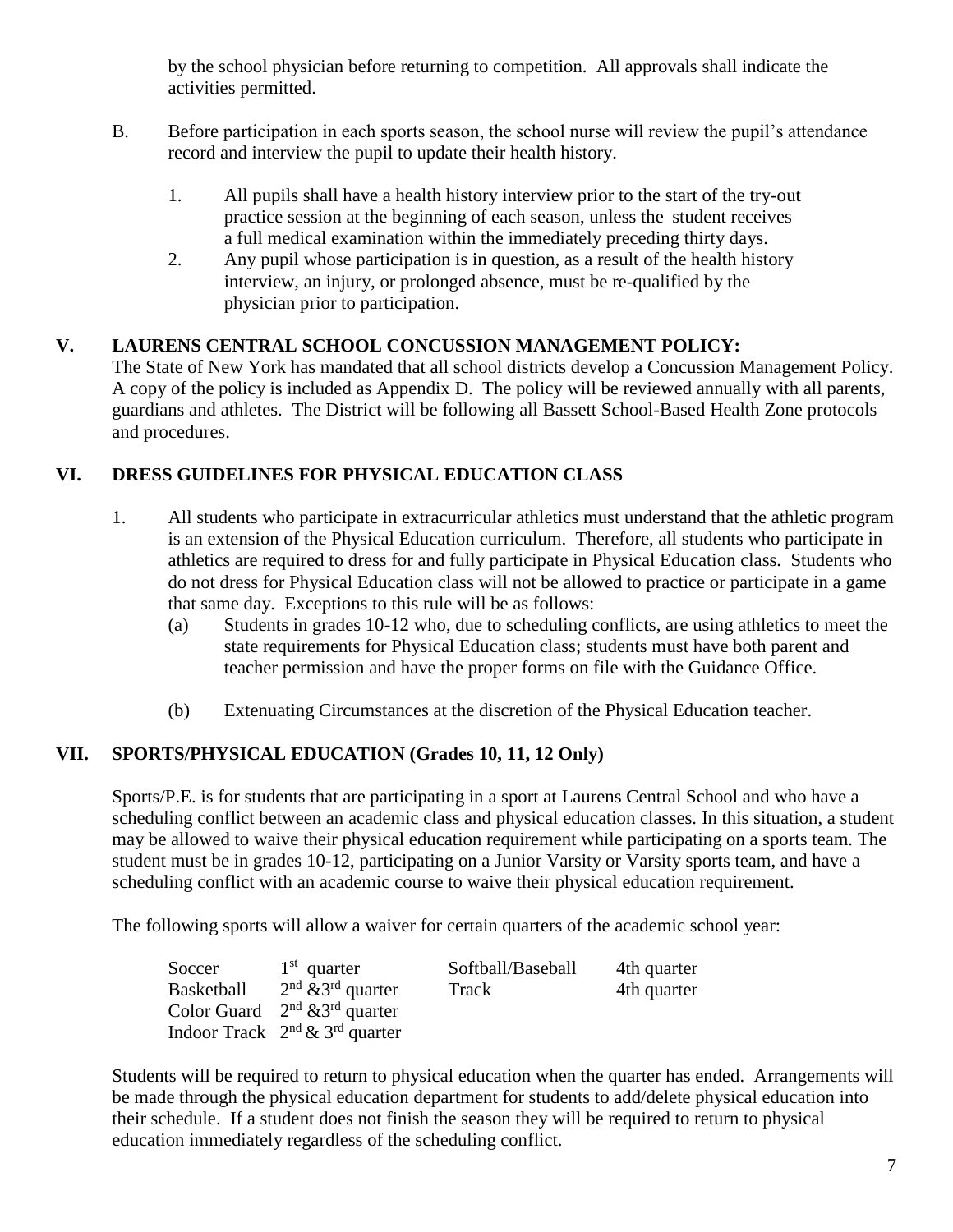by the school physician before returning to competition. All approvals shall indicate the activities permitted.

- B. Before participation in each sports season, the school nurse will review the pupil's attendance record and interview the pupil to update their health history.
	- 1. All pupils shall have a health history interview prior to the start of the try-out practice session at the beginning of each season, unless the student receives a full medical examination within the immediately preceding thirty days.
	- 2. Any pupil whose participation is in question, as a result of the health history interview, an injury, or prolonged absence, must be re-qualified by the physician prior to participation.

#### **V. LAURENS CENTRAL SCHOOL CONCUSSION MANAGEMENT POLICY:**

The State of New York has mandated that all school districts develop a Concussion Management Policy. A copy of the policy is included as Appendix D. The policy will be reviewed annually with all parents, guardians and athletes. The District will be following all Bassett School-Based Health Zone protocols and procedures.

#### **VI. DRESS GUIDELINES FOR PHYSICAL EDUCATION CLASS**

- 1. All students who participate in extracurricular athletics must understand that the athletic program is an extension of the Physical Education curriculum. Therefore, all students who participate in athletics are required to dress for and fully participate in Physical Education class. Students who do not dress for Physical Education class will not be allowed to practice or participate in a game that same day. Exceptions to this rule will be as follows:
	- (a) Students in grades 10-12 who, due to scheduling conflicts, are using athletics to meet the state requirements for Physical Education class; students must have both parent and teacher permission and have the proper forms on file with the Guidance Office.
	- (b) Extenuating Circumstances at the discretion of the Physical Education teacher.

#### **VII. SPORTS/PHYSICAL EDUCATION (Grades 10, 11, 12 Only)**

Sports/P.E. is for students that are participating in a sport at Laurens Central School and who have a scheduling conflict between an academic class and physical education classes. In this situation, a student may be allowed to waive their physical education requirement while participating on a sports team. The student must be in grades 10-12, participating on a Junior Varsity or Varsity sports team, and have a scheduling conflict with an academic course to waive their physical education requirement.

The following sports will allow a waiver for certain quarters of the academic school year:

| Soccer     | $1st$ quarter                               | Softball/Baseball | 4th quarter |
|------------|---------------------------------------------|-------------------|-------------|
| Basketball | $2nd$ & 3 <sup>rd</sup> quarter             | Track             | 4th quarter |
|            | Color Guard $2nd$ & 3 <sup>rd</sup> quarter |                   |             |
|            | Indoor Track $2^{nd} \& 3^{rd}$ quarter     |                   |             |

Students will be required to return to physical education when the quarter has ended. Arrangements will be made through the physical education department for students to add/delete physical education into their schedule. If a student does not finish the season they will be required to return to physical education immediately regardless of the scheduling conflict.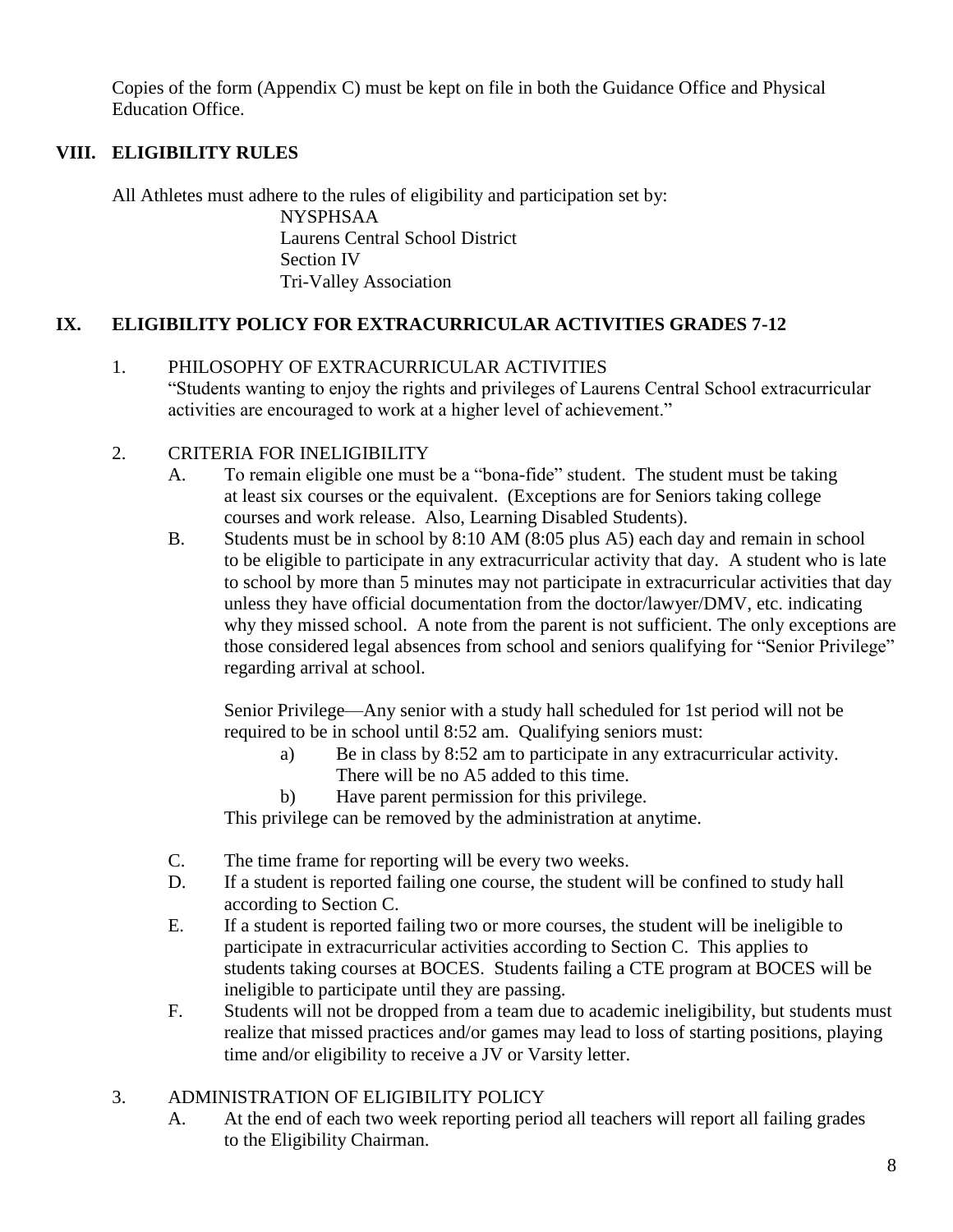Copies of the form (Appendix C) must be kept on file in both the Guidance Office and Physical Education Office.

#### **VIII. ELIGIBILITY RULES**

All Athletes must adhere to the rules of eligibility and participation set by: NYSPHSAA Laurens Central School District Section IV Tri-Valley Association

#### **IX. ELIGIBILITY POLICY FOR EXTRACURRICULAR ACTIVITIES GRADES 7-12**

1. PHILOSOPHY OF EXTRACURRICULAR ACTIVITIES "Students wanting to enjoy the rights and privileges of Laurens Central School extracurricular activities are encouraged to work at a higher level of achievement."

#### 2. CRITERIA FOR INELIGIBILITY

- A. To remain eligible one must be a "bona-fide" student. The student must be taking at least six courses or the equivalent. (Exceptions are for Seniors taking college courses and work release. Also, Learning Disabled Students).
- B. Students must be in school by 8:10 AM (8:05 plus A5) each day and remain in school to be eligible to participate in any extracurricular activity that day. A student who is late to school by more than 5 minutes may not participate in extracurricular activities that day unless they have official documentation from the doctor/lawyer/DMV, etc. indicating why they missed school. A note from the parent is not sufficient. The only exceptions are those considered legal absences from school and seniors qualifying for "Senior Privilege" regarding arrival at school.

Senior Privilege—Any senior with a study hall scheduled for 1st period will not be required to be in school until 8:52 am. Qualifying seniors must:

- a) Be in class by 8:52 am to participate in any extracurricular activity. There will be no A5 added to this time.
- b) Have parent permission for this privilege.

This privilege can be removed by the administration at anytime.

- C. The time frame for reporting will be every two weeks.
- D. If a student is reported failing one course, the student will be confined to study hall according to Section C.
- E. If a student is reported failing two or more courses, the student will be ineligible to participate in extracurricular activities according to Section C. This applies to students taking courses at BOCES. Students failing a CTE program at BOCES will be ineligible to participate until they are passing.
- F. Students will not be dropped from a team due to academic ineligibility, but students must realize that missed practices and/or games may lead to loss of starting positions, playing time and/or eligibility to receive a JV or Varsity letter.

#### 3. ADMINISTRATION OF ELIGIBILITY POLICY

A. At the end of each two week reporting period all teachers will report all failing grades to the Eligibility Chairman.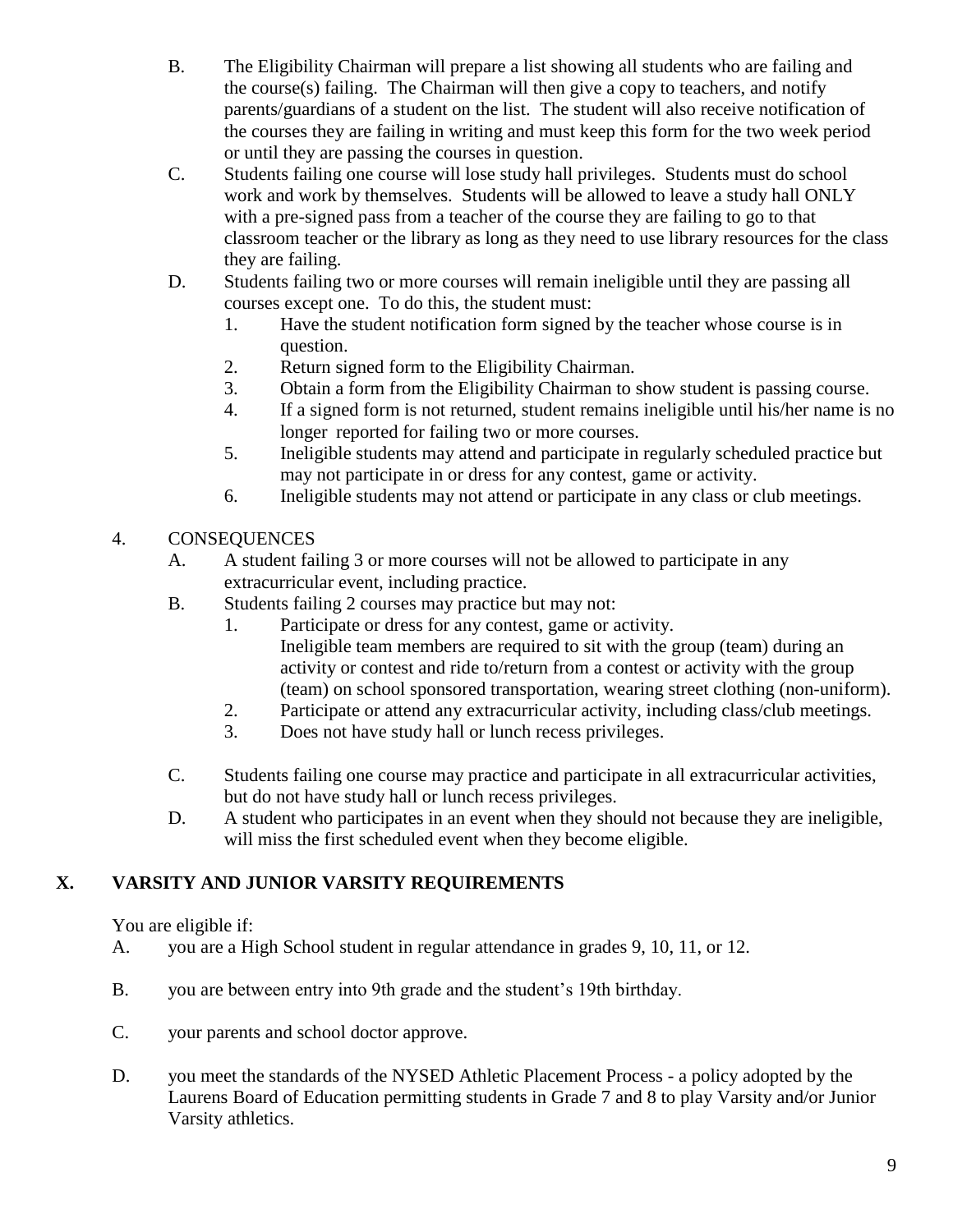- B. The Eligibility Chairman will prepare a list showing all students who are failing and the course(s) failing. The Chairman will then give a copy to teachers, and notify parents/guardians of a student on the list. The student will also receive notification of the courses they are failing in writing and must keep this form for the two week period or until they are passing the courses in question.
- C. Students failing one course will lose study hall privileges. Students must do school work and work by themselves. Students will be allowed to leave a study hall ONLY with a pre-signed pass from a teacher of the course they are failing to go to that classroom teacher or the library as long as they need to use library resources for the class they are failing.
- D. Students failing two or more courses will remain ineligible until they are passing all courses except one. To do this, the student must:
	- 1. Have the student notification form signed by the teacher whose course is in question.
	- 2. Return signed form to the Eligibility Chairman.
	- 3. Obtain a form from the Eligibility Chairman to show student is passing course.
	- 4. If a signed form is not returned, student remains ineligible until his/her name is no longer reported for failing two or more courses.
	- 5. Ineligible students may attend and participate in regularly scheduled practice but may not participate in or dress for any contest, game or activity.
	- 6. Ineligible students may not attend or participate in any class or club meetings.
- 4. CONSEQUENCES
	- A. A student failing 3 or more courses will not be allowed to participate in any extracurricular event, including practice.
	- B. Students failing 2 courses may practice but may not:
		- 1. Participate or dress for any contest, game or activity. Ineligible team members are required to sit with the group (team) during an activity or contest and ride to/return from a contest or activity with the group (team) on school sponsored transportation, wearing street clothing (non-uniform).
		- 2. Participate or attend any extracurricular activity, including class/club meetings.
		- 3. Does not have study hall or lunch recess privileges.
	- C. Students failing one course may practice and participate in all extracurricular activities, but do not have study hall or lunch recess privileges.
	- D. A student who participates in an event when they should not because they are ineligible, will miss the first scheduled event when they become eligible.

#### **X. VARSITY AND JUNIOR VARSITY REQUIREMENTS**

You are eligible if:

- A. you are a High School student in regular attendance in grades 9, 10, 11, or 12.
- B. you are between entry into 9th grade and the student's 19th birthday.
- C. your parents and school doctor approve.
- D. you meet the standards of the NYSED Athletic Placement Process a policy adopted by the Laurens Board of Education permitting students in Grade 7 and 8 to play Varsity and/or Junior Varsity athletics.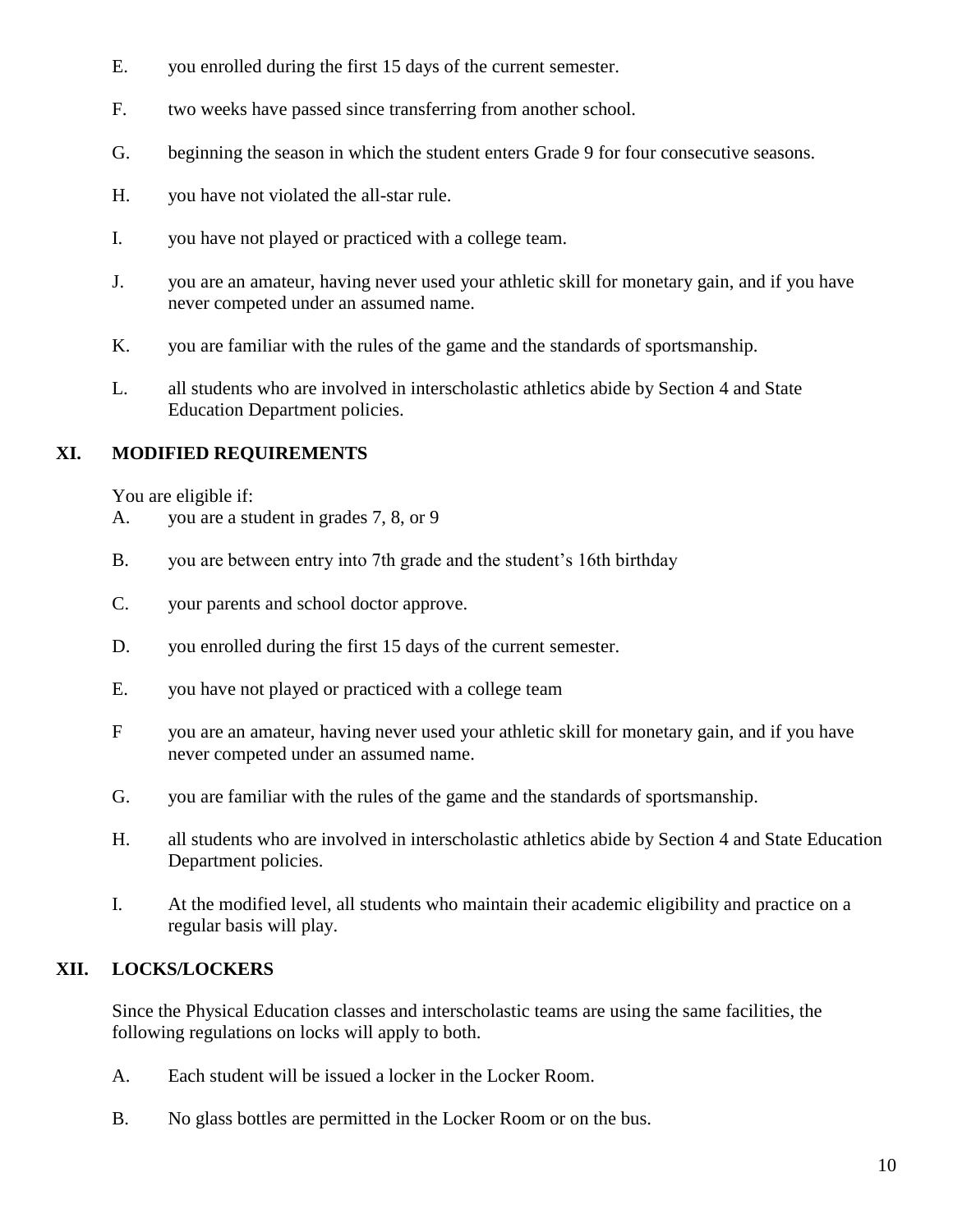- E. you enrolled during the first 15 days of the current semester.
- F. two weeks have passed since transferring from another school.
- G. beginning the season in which the student enters Grade 9 for four consecutive seasons.
- H. you have not violated the all-star rule.
- I. you have not played or practiced with a college team.
- J. you are an amateur, having never used your athletic skill for monetary gain, and if you have never competed under an assumed name.
- K. you are familiar with the rules of the game and the standards of sportsmanship.
- L. all students who are involved in interscholastic athletics abide by Section 4 and State Education Department policies.

#### **XI. MODIFIED REQUIREMENTS**

You are eligible if:

- A. you are a student in grades 7, 8, or 9
- B. you are between entry into 7th grade and the student's 16th birthday
- C. your parents and school doctor approve.
- D. you enrolled during the first 15 days of the current semester.
- E. you have not played or practiced with a college team
- F you are an amateur, having never used your athletic skill for monetary gain, and if you have never competed under an assumed name.
- G. you are familiar with the rules of the game and the standards of sportsmanship.
- H. all students who are involved in interscholastic athletics abide by Section 4 and State Education Department policies.
- I. At the modified level, all students who maintain their academic eligibility and practice on a regular basis will play.

#### **XII. LOCKS/LOCKERS**

Since the Physical Education classes and interscholastic teams are using the same facilities, the following regulations on locks will apply to both.

- A. Each student will be issued a locker in the Locker Room.
- B. No glass bottles are permitted in the Locker Room or on the bus.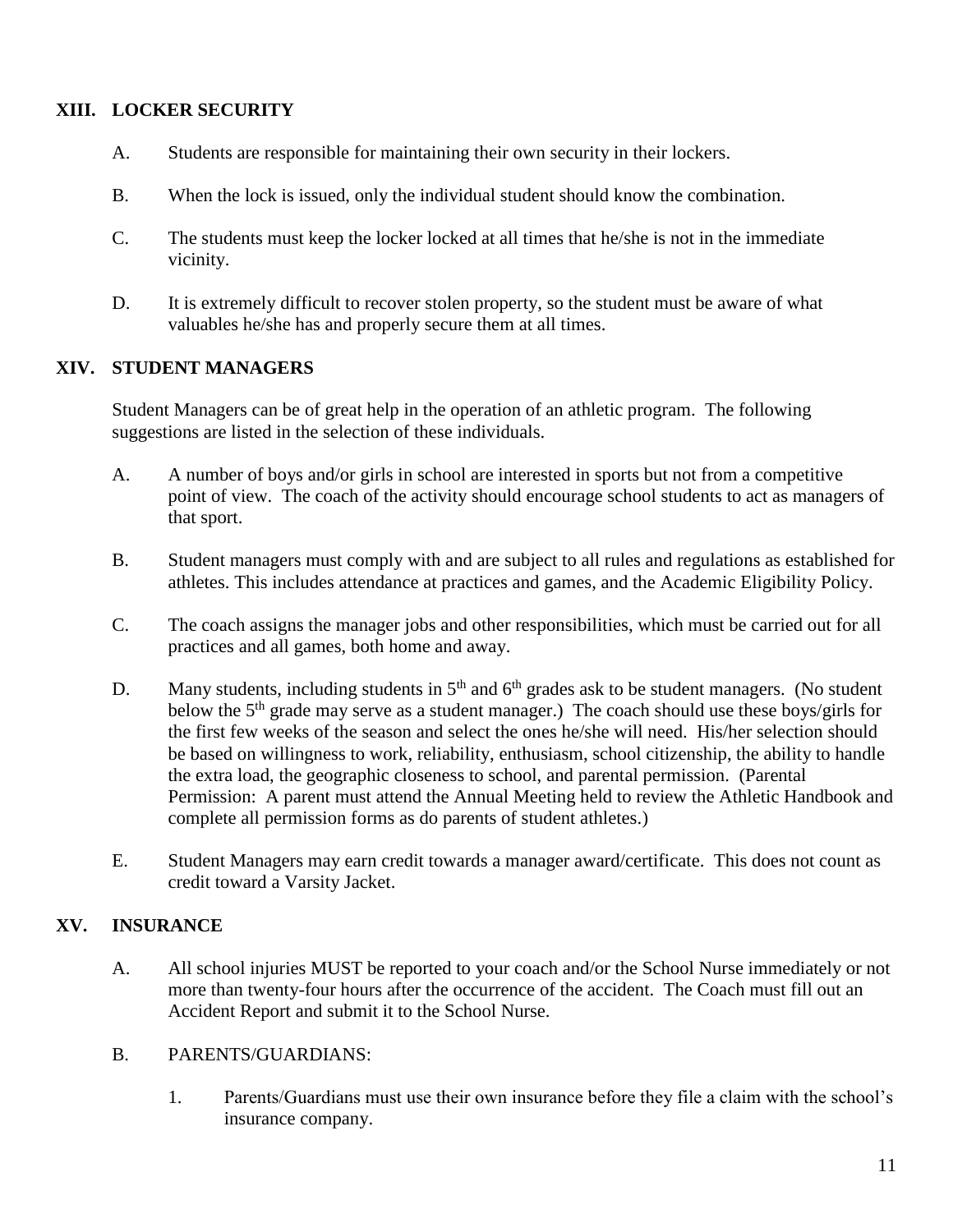#### **XIII. LOCKER SECURITY**

- A. Students are responsible for maintaining their own security in their lockers.
- B. When the lock is issued, only the individual student should know the combination.
- C. The students must keep the locker locked at all times that he/she is not in the immediate vicinity.
- D. It is extremely difficult to recover stolen property, so the student must be aware of what valuables he/she has and properly secure them at all times.

#### **XIV. STUDENT MANAGERS**

Student Managers can be of great help in the operation of an athletic program. The following suggestions are listed in the selection of these individuals.

- A. A number of boys and/or girls in school are interested in sports but not from a competitive point of view. The coach of the activity should encourage school students to act as managers of that sport.
- B. Student managers must comply with and are subject to all rules and regulations as established for athletes. This includes attendance at practices and games, and the Academic Eligibility Policy.
- C. The coach assigns the manager jobs and other responsibilities, which must be carried out for all practices and all games, both home and away.
- D. Many students, including students in  $5<sup>th</sup>$  and  $6<sup>th</sup>$  grades ask to be student managers. (No student below the  $5<sup>th</sup>$  grade may serve as a student manager.) The coach should use these boys/girls for the first few weeks of the season and select the ones he/she will need. His/her selection should be based on willingness to work, reliability, enthusiasm, school citizenship, the ability to handle the extra load, the geographic closeness to school, and parental permission. (Parental Permission: A parent must attend the Annual Meeting held to review the Athletic Handbook and complete all permission forms as do parents of student athletes.)
- E. Student Managers may earn credit towards a manager award/certificate. This does not count as credit toward a Varsity Jacket.

#### **XV. INSURANCE**

- A. All school injuries MUST be reported to your coach and/or the School Nurse immediately or not more than twenty-four hours after the occurrence of the accident. The Coach must fill out an Accident Report and submit it to the School Nurse.
- B. PARENTS/GUARDIANS:
	- 1. Parents/Guardians must use their own insurance before they file a claim with the school's insurance company.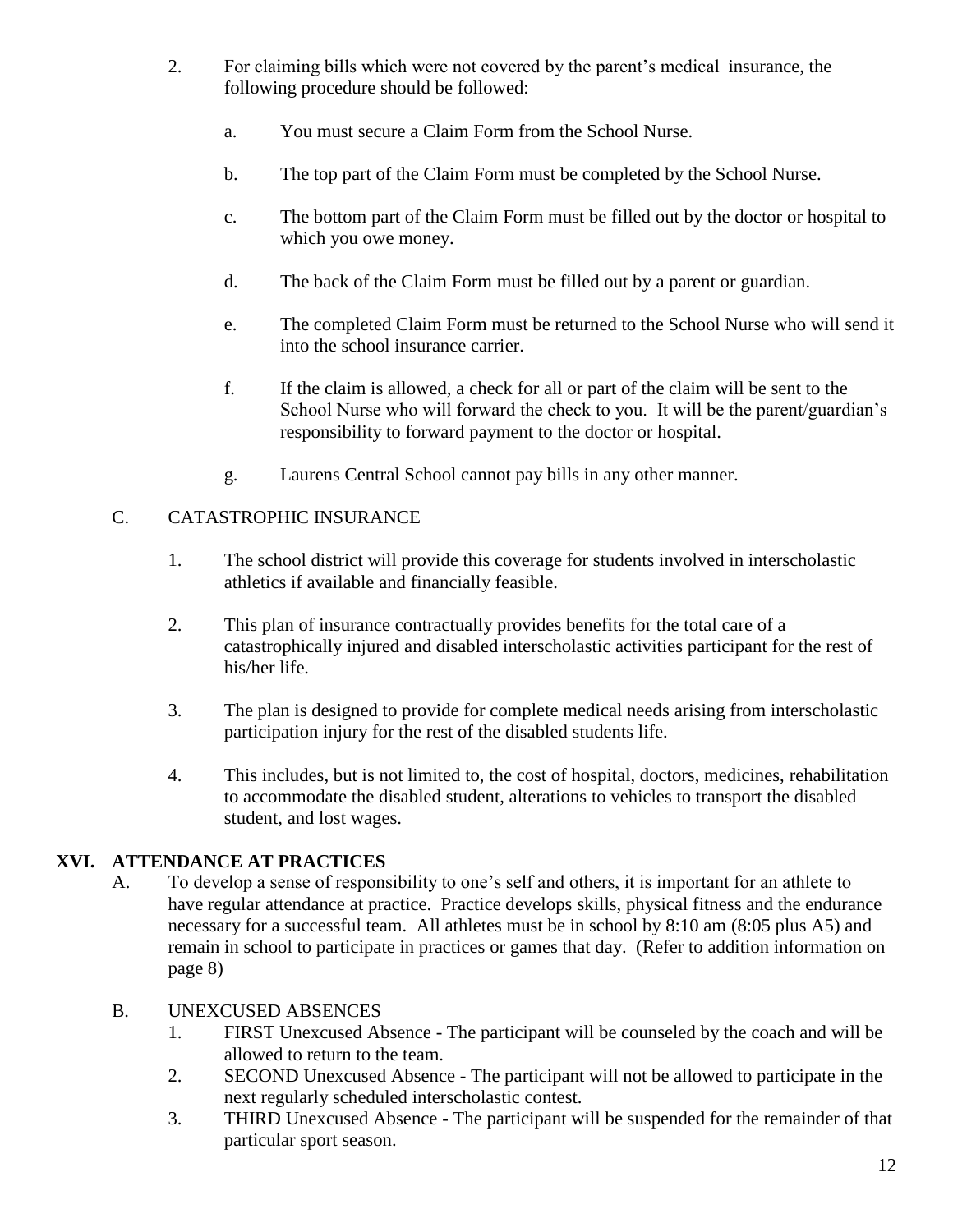- 2. For claiming bills which were not covered by the parent's medical insurance, the following procedure should be followed:
	- a. You must secure a Claim Form from the School Nurse.
	- b. The top part of the Claim Form must be completed by the School Nurse.
	- c. The bottom part of the Claim Form must be filled out by the doctor or hospital to which you owe money.
	- d. The back of the Claim Form must be filled out by a parent or guardian.
	- e. The completed Claim Form must be returned to the School Nurse who will send it into the school insurance carrier.
	- f. If the claim is allowed, a check for all or part of the claim will be sent to the School Nurse who will forward the check to you. It will be the parent/guardian's responsibility to forward payment to the doctor or hospital.
	- g. Laurens Central School cannot pay bills in any other manner.

#### C. CATASTROPHIC INSURANCE

- 1. The school district will provide this coverage for students involved in interscholastic athletics if available and financially feasible.
- 2. This plan of insurance contractually provides benefits for the total care of a catastrophically injured and disabled interscholastic activities participant for the rest of his/her life.
- 3. The plan is designed to provide for complete medical needs arising from interscholastic participation injury for the rest of the disabled students life.
- 4. This includes, but is not limited to, the cost of hospital, doctors, medicines, rehabilitation to accommodate the disabled student, alterations to vehicles to transport the disabled student, and lost wages.

#### **XVI. ATTENDANCE AT PRACTICES**

A. To develop a sense of responsibility to one's self and others, it is important for an athlete to have regular attendance at practice. Practice develops skills, physical fitness and the endurance necessary for a successful team. All athletes must be in school by 8:10 am (8:05 plus A5) and remain in school to participate in practices or games that day. (Refer to addition information on page 8)

#### B. UNEXCUSED ABSENCES

- 1. FIRST Unexcused Absence The participant will be counseled by the coach and will be allowed to return to the team.
- 2. SECOND Unexcused Absence The participant will not be allowed to participate in the next regularly scheduled interscholastic contest.
- 3. THIRD Unexcused Absence The participant will be suspended for the remainder of that particular sport season.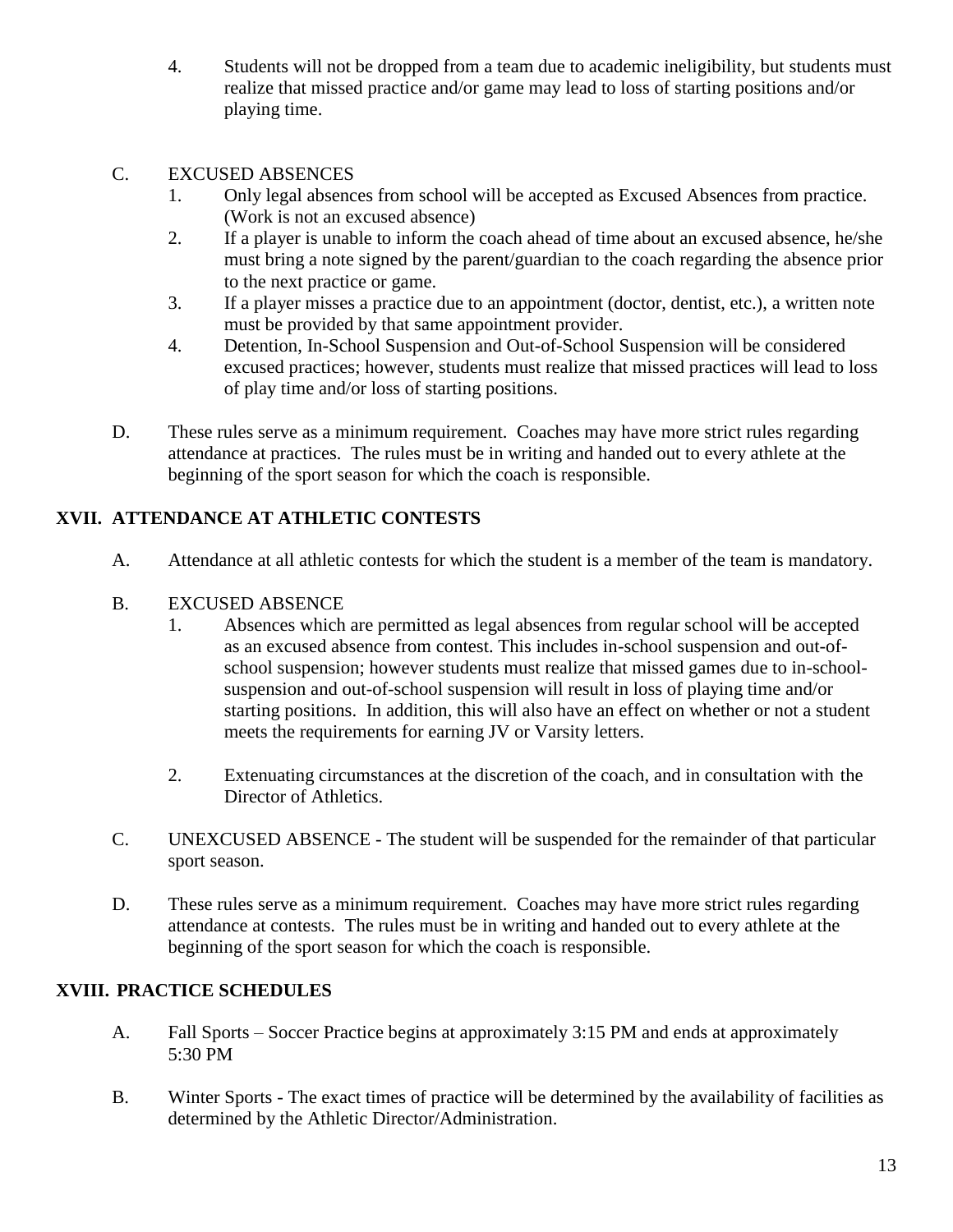4. Students will not be dropped from a team due to academic ineligibility, but students must realize that missed practice and/or game may lead to loss of starting positions and/or playing time.

#### C. EXCUSED ABSENCES

- 1. Only legal absences from school will be accepted as Excused Absences from practice. (Work is not an excused absence)
- 2. If a player is unable to inform the coach ahead of time about an excused absence, he/she must bring a note signed by the parent/guardian to the coach regarding the absence prior to the next practice or game.
- 3. If a player misses a practice due to an appointment (doctor, dentist, etc.), a written note must be provided by that same appointment provider.
- 4. Detention, In-School Suspension and Out-of-School Suspension will be considered excused practices; however, students must realize that missed practices will lead to loss of play time and/or loss of starting positions.
- D. These rules serve as a minimum requirement. Coaches may have more strict rules regarding attendance at practices. The rules must be in writing and handed out to every athlete at the beginning of the sport season for which the coach is responsible.

#### **XVII. ATTENDANCE AT ATHLETIC CONTESTS**

A. Attendance at all athletic contests for which the student is a member of the team is mandatory.

#### B. EXCUSED ABSENCE

- 1. Absences which are permitted as legal absences from regular school will be accepted as an excused absence from contest. This includes in-school suspension and out-ofschool suspension; however students must realize that missed games due to in-schoolsuspension and out-of-school suspension will result in loss of playing time and/or starting positions. In addition, this will also have an effect on whether or not a student meets the requirements for earning JV or Varsity letters.
- 2. Extenuating circumstances at the discretion of the coach, and in consultation with the Director of Athletics.
- C. UNEXCUSED ABSENCE The student will be suspended for the remainder of that particular sport season.
- D. These rules serve as a minimum requirement. Coaches may have more strict rules regarding attendance at contests. The rules must be in writing and handed out to every athlete at the beginning of the sport season for which the coach is responsible.

#### **XVIII. PRACTICE SCHEDULES**

- A. Fall Sports Soccer Practice begins at approximately 3:15 PM and ends at approximately 5:30 PM
- B. Winter Sports The exact times of practice will be determined by the availability of facilities as determined by the Athletic Director/Administration.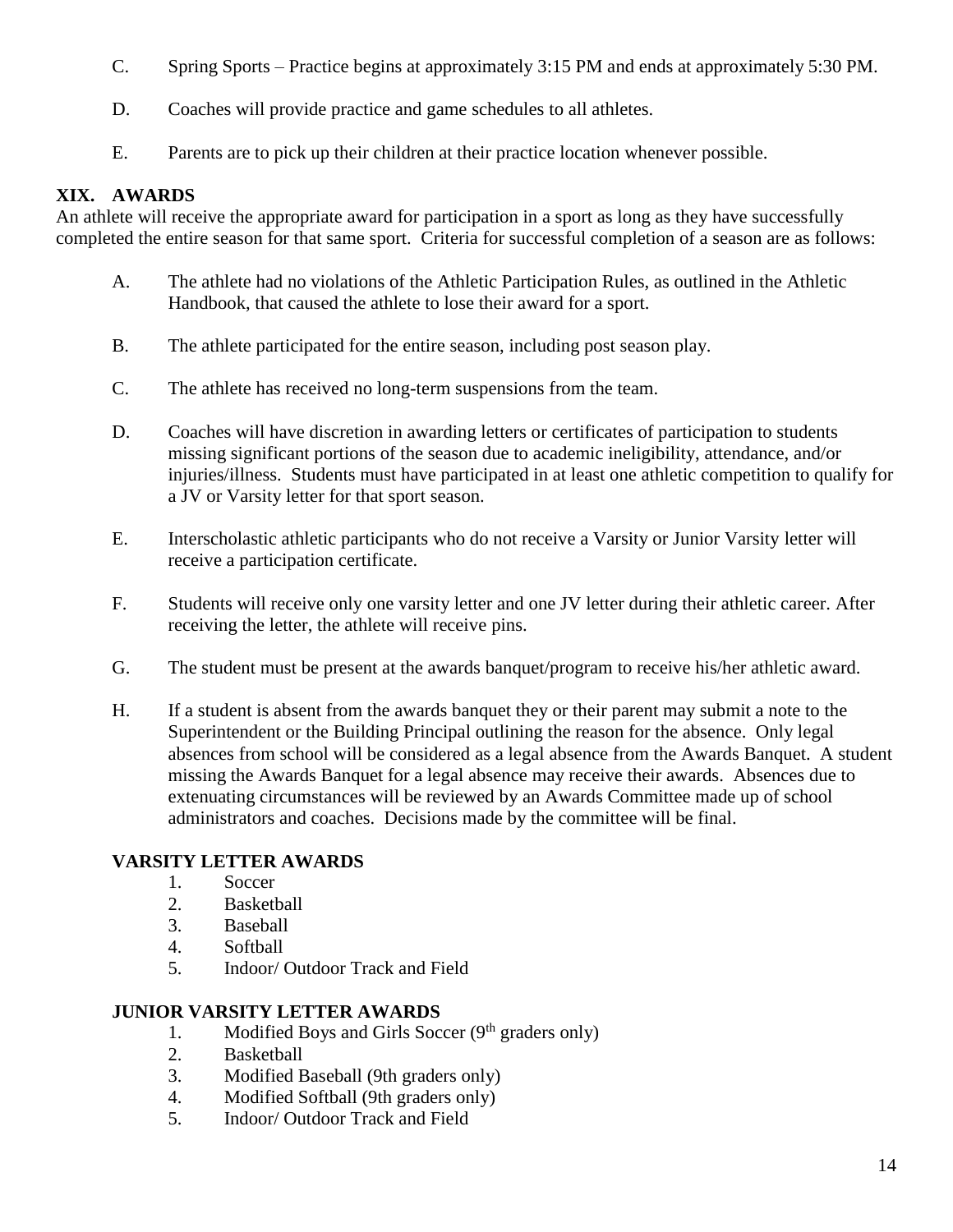- C. Spring Sports Practice begins at approximately 3:15 PM and ends at approximately 5:30 PM.
- D. Coaches will provide practice and game schedules to all athletes.
- E. Parents are to pick up their children at their practice location whenever possible.

#### **XIX. AWARDS**

An athlete will receive the appropriate award for participation in a sport as long as they have successfully completed the entire season for that same sport. Criteria for successful completion of a season are as follows:

- A. The athlete had no violations of the Athletic Participation Rules, as outlined in the Athletic Handbook, that caused the athlete to lose their award for a sport.
- B. The athlete participated for the entire season, including post season play.
- C. The athlete has received no long-term suspensions from the team.
- D. Coaches will have discretion in awarding letters or certificates of participation to students missing significant portions of the season due to academic ineligibility, attendance, and/or injuries/illness. Students must have participated in at least one athletic competition to qualify for a JV or Varsity letter for that sport season.
- E. Interscholastic athletic participants who do not receive a Varsity or Junior Varsity letter will receive a participation certificate.
- F. Students will receive only one varsity letter and one JV letter during their athletic career. After receiving the letter, the athlete will receive pins.
- G. The student must be present at the awards banquet/program to receive his/her athletic award.
- H. If a student is absent from the awards banquet they or their parent may submit a note to the Superintendent or the Building Principal outlining the reason for the absence. Only legal absences from school will be considered as a legal absence from the Awards Banquet. A student missing the Awards Banquet for a legal absence may receive their awards. Absences due to extenuating circumstances will be reviewed by an Awards Committee made up of school administrators and coaches. Decisions made by the committee will be final.

#### **VARSITY LETTER AWARDS**

- 1. Soccer
- 2. Basketball
- 3. Baseball
- 4. Softball
- 5. Indoor/ Outdoor Track and Field

#### **JUNIOR VARSITY LETTER AWARDS**

- 1. Modified Boys and Girls Soccer  $(9<sup>th</sup>$  graders only)
- 2. Basketball
- 3. Modified Baseball (9th graders only)
- 4. Modified Softball (9th graders only)
- 5. Indoor/ Outdoor Track and Field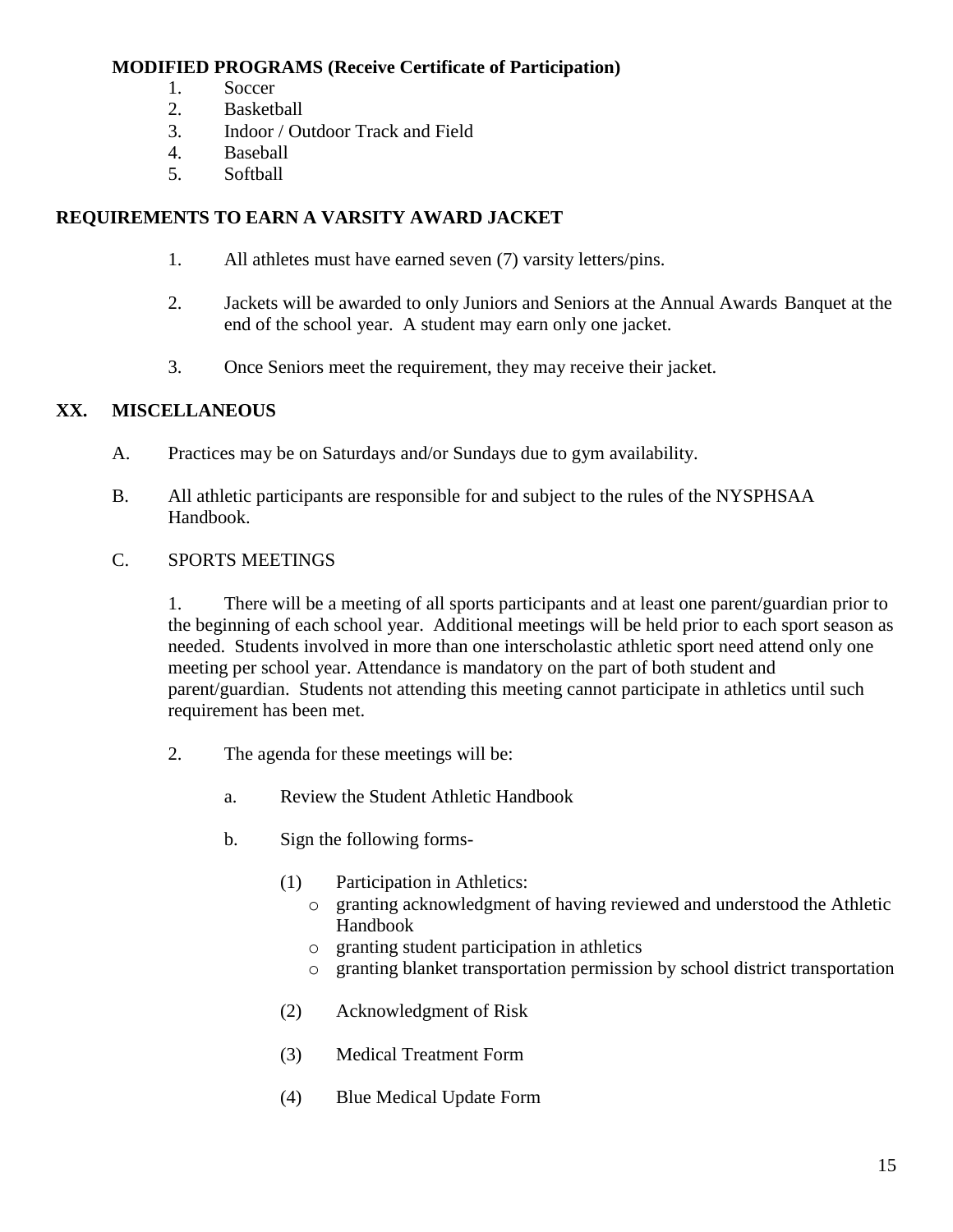#### **MODIFIED PROGRAMS (Receive Certificate of Participation)**

- 1. Soccer
- 2. Basketball
- 3. Indoor / Outdoor Track and Field
- 4. Baseball
- 5. Softball

#### **REQUIREMENTS TO EARN A VARSITY AWARD JACKET**

- 1. All athletes must have earned seven (7) varsity letters/pins.
- 2. Jackets will be awarded to only Juniors and Seniors at the Annual Awards Banquet at the end of the school year. A student may earn only one jacket.
- 3. Once Seniors meet the requirement, they may receive their jacket.

#### **XX. MISCELLANEOUS**

- A. Practices may be on Saturdays and/or Sundays due to gym availability.
- B. All athletic participants are responsible for and subject to the rules of the NYSPHSAA Handbook.

#### C. SPORTS MEETINGS

1. There will be a meeting of all sports participants and at least one parent/guardian prior to the beginning of each school year. Additional meetings will be held prior to each sport season as needed. Students involved in more than one interscholastic athletic sport need attend only one meeting per school year. Attendance is mandatory on the part of both student and parent/guardian. Students not attending this meeting cannot participate in athletics until such requirement has been met.

- 2. The agenda for these meetings will be:
	- a. Review the Student Athletic Handbook
	- b. Sign the following forms-
		- (1) Participation in Athletics:
			- o granting acknowledgment of having reviewed and understood the Athletic Handbook
			- o granting student participation in athletics
			- o granting blanket transportation permission by school district transportation
		- (2) Acknowledgment of Risk
		- (3) Medical Treatment Form
		- (4) Blue Medical Update Form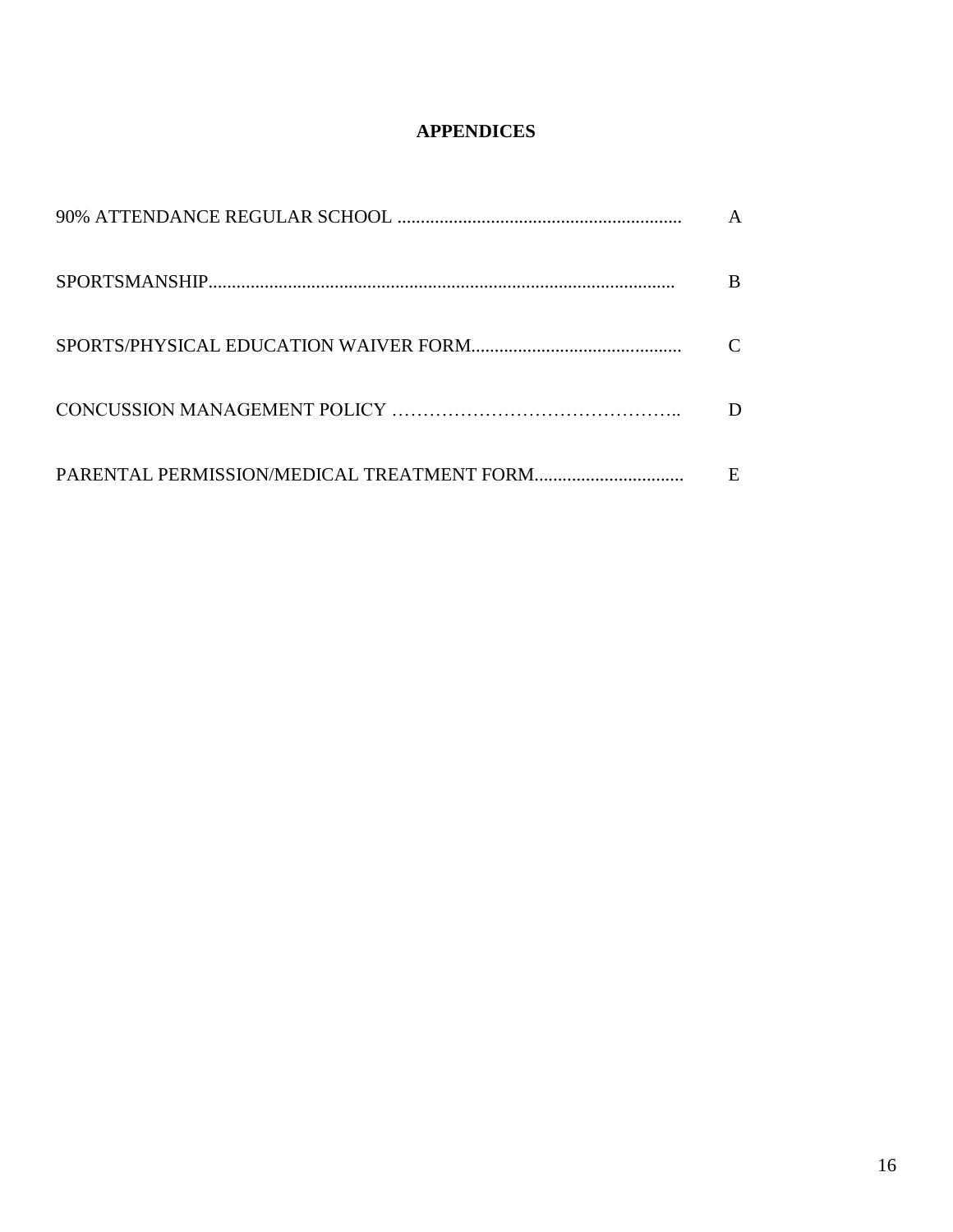#### **APPENDICES**

| B |
|---|
|   |
|   |
| E |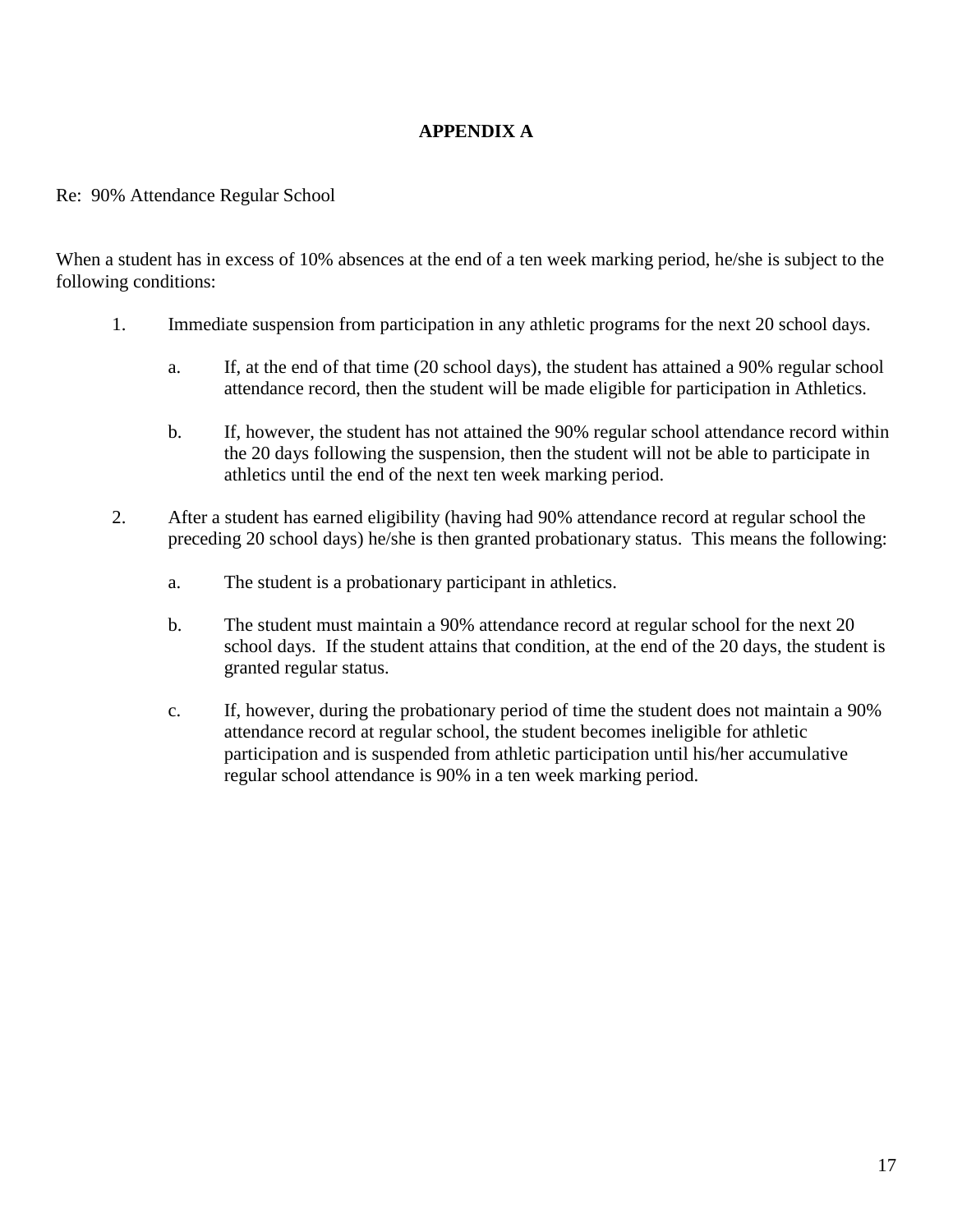#### **APPENDIX A**

#### Re: 90% Attendance Regular School

When a student has in excess of 10% absences at the end of a ten week marking period, he/she is subject to the following conditions:

- 1. Immediate suspension from participation in any athletic programs for the next 20 school days.
	- a. If, at the end of that time (20 school days), the student has attained a 90% regular school attendance record, then the student will be made eligible for participation in Athletics.
	- b. If, however, the student has not attained the 90% regular school attendance record within the 20 days following the suspension, then the student will not be able to participate in athletics until the end of the next ten week marking period.
- 2. After a student has earned eligibility (having had 90% attendance record at regular school the preceding 20 school days) he/she is then granted probationary status. This means the following:
	- a. The student is a probationary participant in athletics.
	- b. The student must maintain a 90% attendance record at regular school for the next 20 school days. If the student attains that condition, at the end of the 20 days, the student is granted regular status.
	- c. If, however, during the probationary period of time the student does not maintain a 90% attendance record at regular school, the student becomes ineligible for athletic participation and is suspended from athletic participation until his/her accumulative regular school attendance is 90% in a ten week marking period.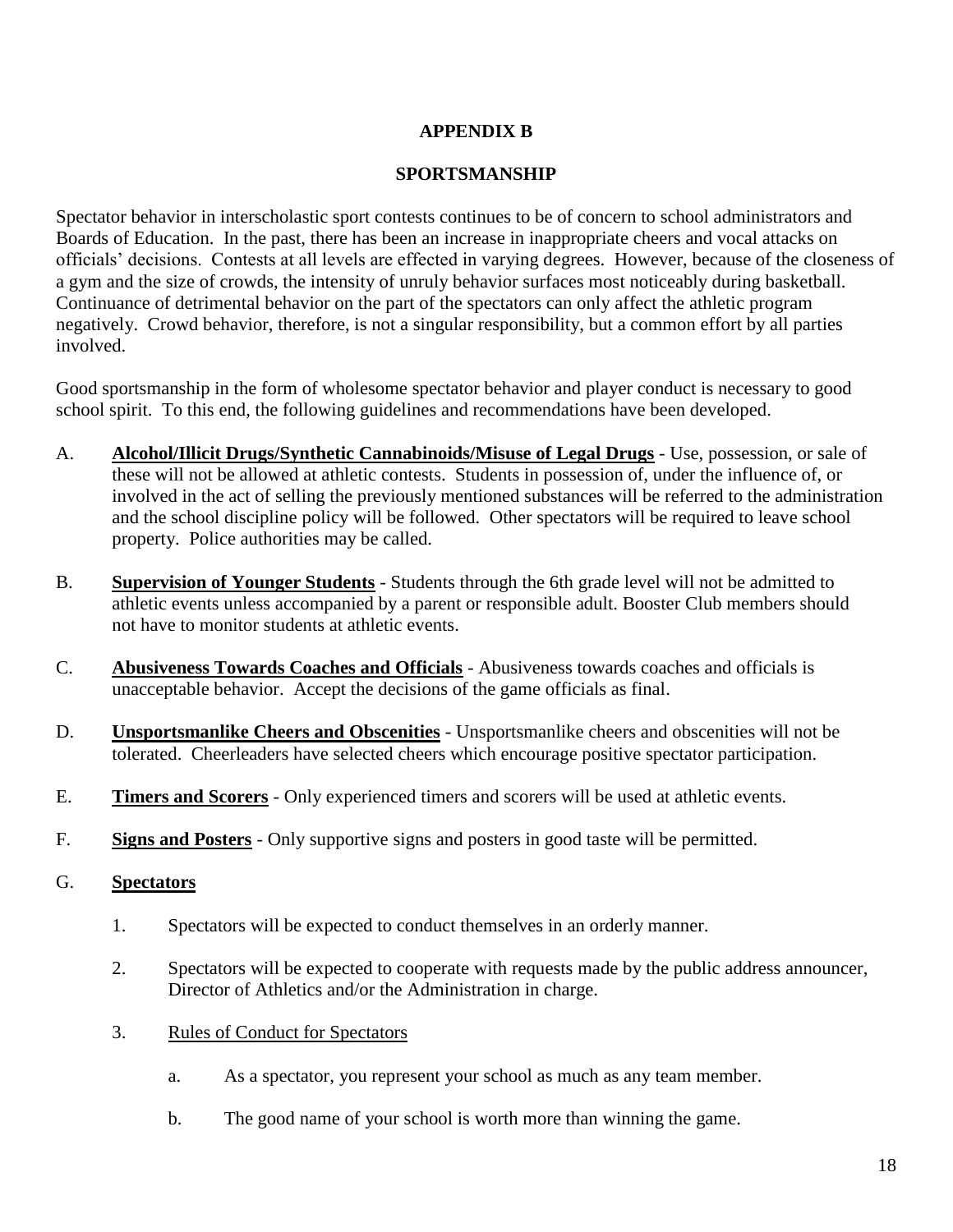#### **APPENDIX B**

#### **SPORTSMANSHIP**

Spectator behavior in interscholastic sport contests continues to be of concern to school administrators and Boards of Education. In the past, there has been an increase in inappropriate cheers and vocal attacks on officials' decisions. Contests at all levels are effected in varying degrees. However, because of the closeness of a gym and the size of crowds, the intensity of unruly behavior surfaces most noticeably during basketball. Continuance of detrimental behavior on the part of the spectators can only affect the athletic program negatively. Crowd behavior, therefore, is not a singular responsibility, but a common effort by all parties involved.

Good sportsmanship in the form of wholesome spectator behavior and player conduct is necessary to good school spirit. To this end, the following guidelines and recommendations have been developed.

- A. **Alcohol/Illicit Drugs/Synthetic Cannabinoids/Misuse of Legal Drugs** Use, possession, or sale of these will not be allowed at athletic contests. Students in possession of, under the influence of, or involved in the act of selling the previously mentioned substances will be referred to the administration and the school discipline policy will be followed. Other spectators will be required to leave school property. Police authorities may be called.
- B. **Supervision of Younger Students** Students through the 6th grade level will not be admitted to athletic events unless accompanied by a parent or responsible adult. Booster Club members should not have to monitor students at athletic events.
- C. **Abusiveness Towards Coaches and Officials** Abusiveness towards coaches and officials is unacceptable behavior. Accept the decisions of the game officials as final.
- D. **Unsportsmanlike Cheers and Obscenities** Unsportsmanlike cheers and obscenities will not be tolerated. Cheerleaders have selected cheers which encourage positive spectator participation.
- E. **Timers and Scorers** Only experienced timers and scorers will be used at athletic events.
- F. **Signs and Posters** Only supportive signs and posters in good taste will be permitted.

#### G. **Spectators**

- 1. Spectators will be expected to conduct themselves in an orderly manner.
- 2. Spectators will be expected to cooperate with requests made by the public address announcer, Director of Athletics and/or the Administration in charge.
- 3. Rules of Conduct for Spectators
	- a. As a spectator, you represent your school as much as any team member.
	- b. The good name of your school is worth more than winning the game.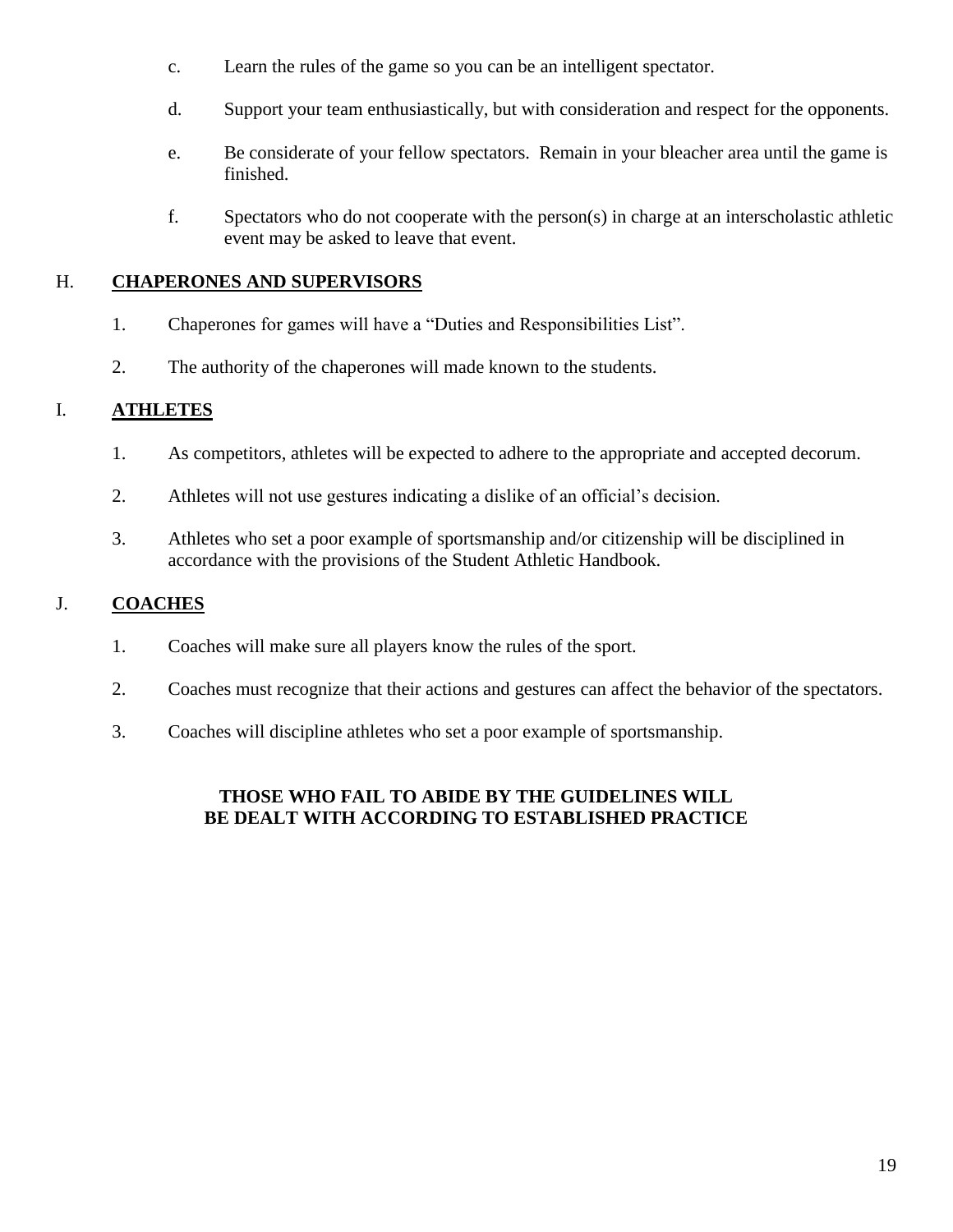- c. Learn the rules of the game so you can be an intelligent spectator.
- d. Support your team enthusiastically, but with consideration and respect for the opponents.
- e. Be considerate of your fellow spectators. Remain in your bleacher area until the game is finished.
- f. Spectators who do not cooperate with the person(s) in charge at an interscholastic athletic event may be asked to leave that event.

#### H. **CHAPERONES AND SUPERVISORS**

- 1. Chaperones for games will have a "Duties and Responsibilities List".
- 2. The authority of the chaperones will made known to the students.

#### I. **ATHLETES**

- 1. As competitors, athletes will be expected to adhere to the appropriate and accepted decorum.
- 2. Athletes will not use gestures indicating a dislike of an official's decision.
- 3. Athletes who set a poor example of sportsmanship and/or citizenship will be disciplined in accordance with the provisions of the Student Athletic Handbook.

#### J. **COACHES**

- 1. Coaches will make sure all players know the rules of the sport.
- 2. Coaches must recognize that their actions and gestures can affect the behavior of the spectators.
- 3. Coaches will discipline athletes who set a poor example of sportsmanship.

#### **THOSE WHO FAIL TO ABIDE BY THE GUIDELINES WILL BE DEALT WITH ACCORDING TO ESTABLISHED PRACTICE**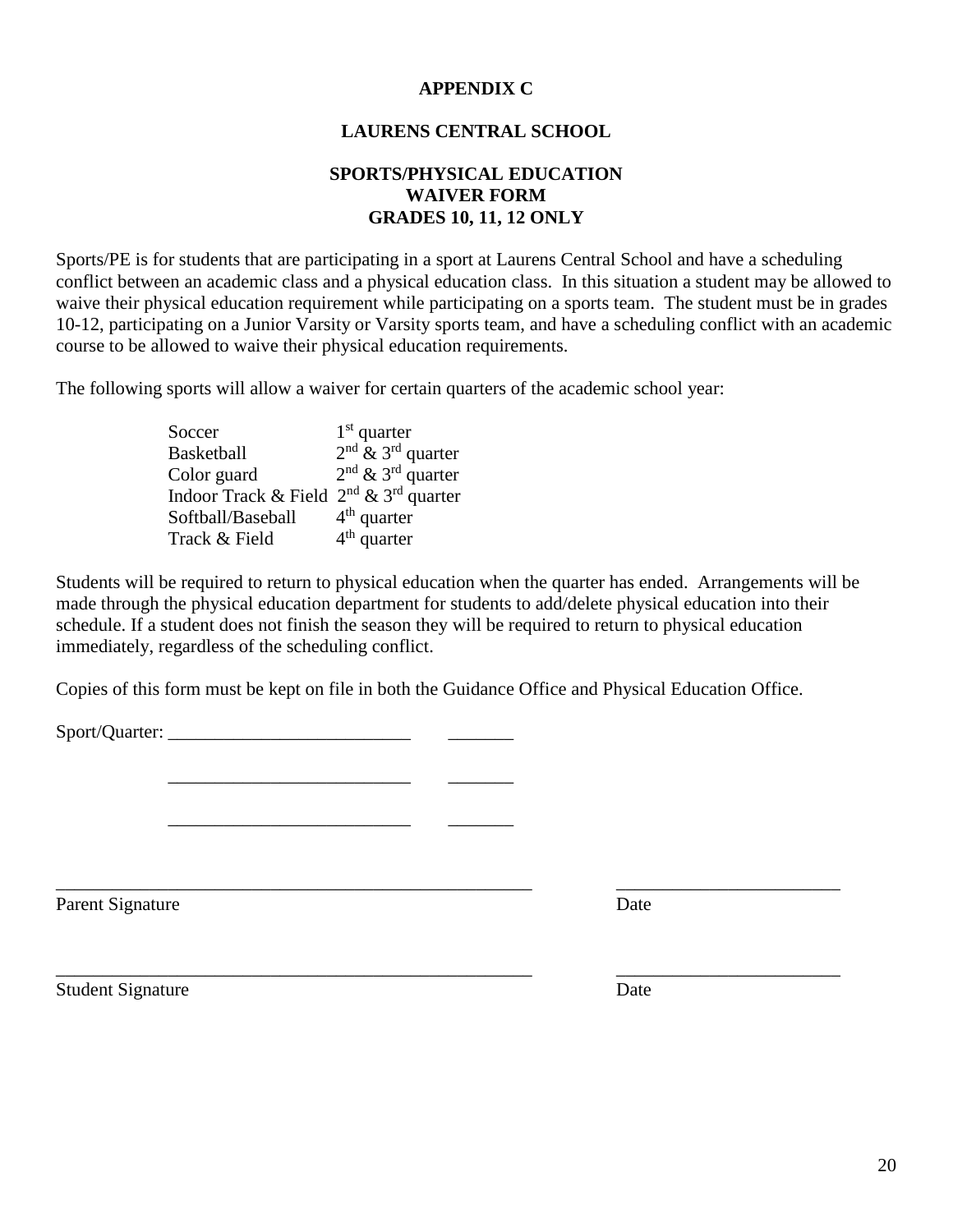#### **APPENDIX C**

#### **LAURENS CENTRAL SCHOOL**

#### **SPORTS/PHYSICAL EDUCATION WAIVER FORM GRADES 10, 11, 12 ONLY**

Sports/PE is for students that are participating in a sport at Laurens Central School and have a scheduling conflict between an academic class and a physical education class. In this situation a student may be allowed to waive their physical education requirement while participating on a sports team. The student must be in grades 10-12, participating on a Junior Varsity or Varsity sports team, and have a scheduling conflict with an academic course to be allowed to waive their physical education requirements.

The following sports will allow a waiver for certain quarters of the academic school year:

Soccer  $1<sup>st</sup>$  quarter Basketball 2  $2<sup>nd</sup>$  & 3<sup>rd</sup> quarter Color guard  $2<sup>nd</sup>$  & 3<sup>rd</sup> quarter Indoor Track & Field  $2<sup>nd</sup>$  &  $3<sup>rd</sup>$  quarter Softball/Baseball 4  $4<sup>th</sup>$  quarter Track & Field  $4<sup>th</sup>$  quarter

\_\_\_\_\_\_\_\_\_\_\_\_\_\_\_\_\_\_\_\_\_\_\_\_\_\_ \_\_\_\_\_\_\_

\_\_\_\_\_\_\_\_\_\_\_\_\_\_\_\_\_\_\_\_\_\_\_\_\_\_ \_\_\_\_\_\_\_

Students will be required to return to physical education when the quarter has ended. Arrangements will be made through the physical education department for students to add/delete physical education into their schedule. If a student does not finish the season they will be required to return to physical education immediately, regardless of the scheduling conflict.

Copies of this form must be kept on file in both the Guidance Office and Physical Education Office.

\_\_\_\_\_\_\_\_\_\_\_\_\_\_\_\_\_\_\_\_\_\_\_\_\_\_\_\_\_\_\_\_\_\_\_\_\_\_\_\_\_\_\_\_\_\_\_\_\_\_\_ \_\_\_\_\_\_\_\_\_\_\_\_\_\_\_\_\_\_\_\_\_\_\_\_

\_\_\_\_\_\_\_\_\_\_\_\_\_\_\_\_\_\_\_\_\_\_\_\_\_\_\_\_\_\_\_\_\_\_\_\_\_\_\_\_\_\_\_\_\_\_\_\_\_\_\_ \_\_\_\_\_\_\_\_\_\_\_\_\_\_\_\_\_\_\_\_\_\_\_\_

Sport/Quarter:

Parent Signature Date

Student Signature Date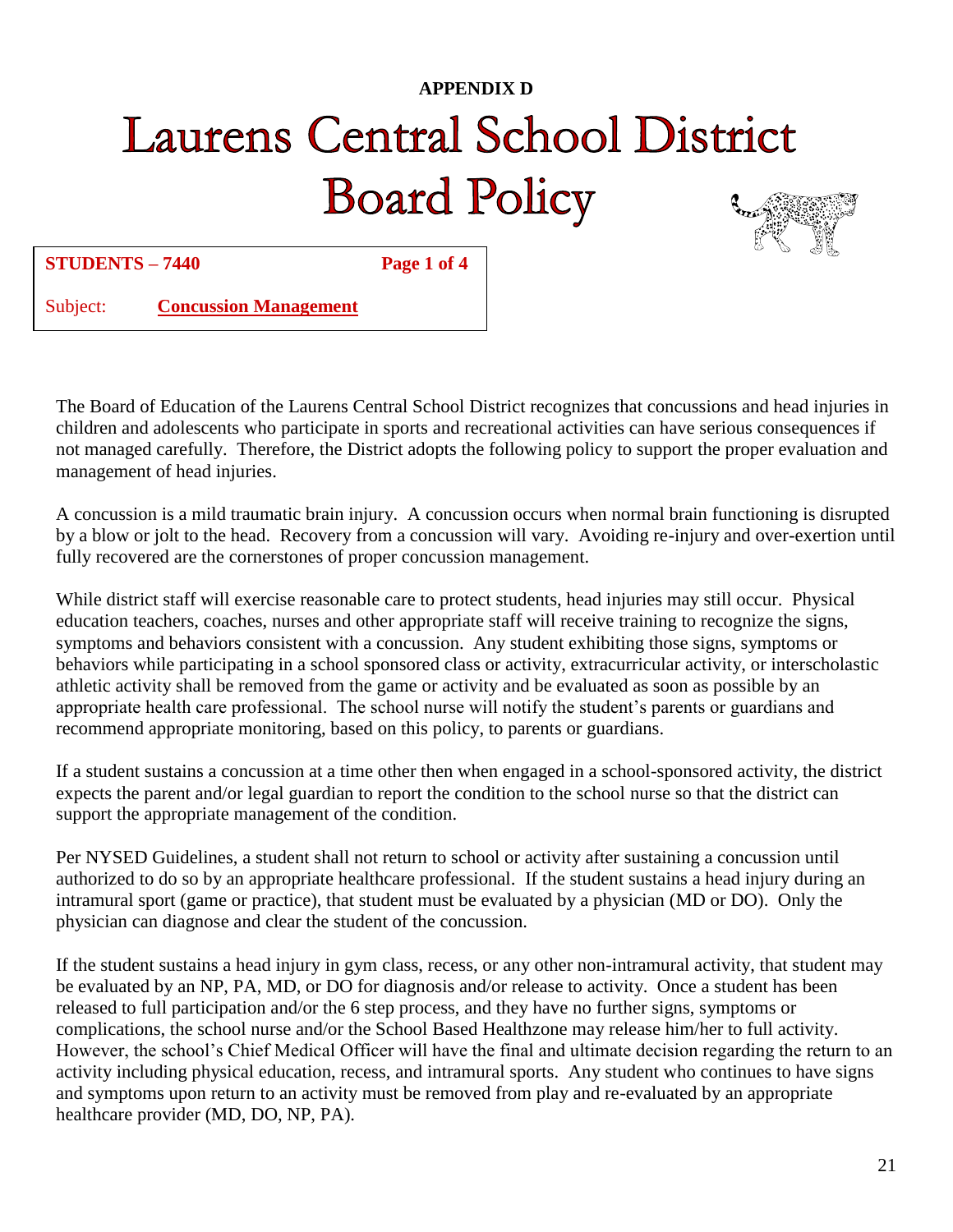### **APPENDIX D Laurens Central School District Board Policy**



**STUDENTS – 7440 Page 1 of 4**

Subject: **Concussion Management**

The Board of Education of the Laurens Central School District recognizes that concussions and head injuries in children and adolescents who participate in sports and recreational activities can have serious consequences if not managed carefully. Therefore, the District adopts the following policy to support the proper evaluation and management of head injuries.

A concussion is a mild traumatic brain injury. A concussion occurs when normal brain functioning is disrupted by a blow or jolt to the head. Recovery from a concussion will vary. Avoiding re-injury and over-exertion until fully recovered are the cornerstones of proper concussion management.

While district staff will exercise reasonable care to protect students, head injuries may still occur. Physical education teachers, coaches, nurses and other appropriate staff will receive training to recognize the signs, symptoms and behaviors consistent with a concussion. Any student exhibiting those signs, symptoms or behaviors while participating in a school sponsored class or activity, extracurricular activity, or interscholastic athletic activity shall be removed from the game or activity and be evaluated as soon as possible by an appropriate health care professional. The school nurse will notify the student's parents or guardians and recommend appropriate monitoring, based on this policy, to parents or guardians.

If a student sustains a concussion at a time other then when engaged in a school-sponsored activity, the district expects the parent and/or legal guardian to report the condition to the school nurse so that the district can support the appropriate management of the condition.

Per NYSED Guidelines, a student shall not return to school or activity after sustaining a concussion until authorized to do so by an appropriate healthcare professional. If the student sustains a head injury during an intramural sport (game or practice), that student must be evaluated by a physician (MD or DO). Only the physician can diagnose and clear the student of the concussion.

If the student sustains a head injury in gym class, recess, or any other non-intramural activity, that student may be evaluated by an NP, PA, MD, or DO for diagnosis and/or release to activity. Once a student has been released to full participation and/or the 6 step process, and they have no further signs, symptoms or complications, the school nurse and/or the School Based Healthzone may release him/her to full activity. However, the school's Chief Medical Officer will have the final and ultimate decision regarding the return to an activity including physical education, recess, and intramural sports. Any student who continues to have signs and symptoms upon return to an activity must be removed from play and re-evaluated by an appropriate healthcare provider (MD, DO, NP, PA).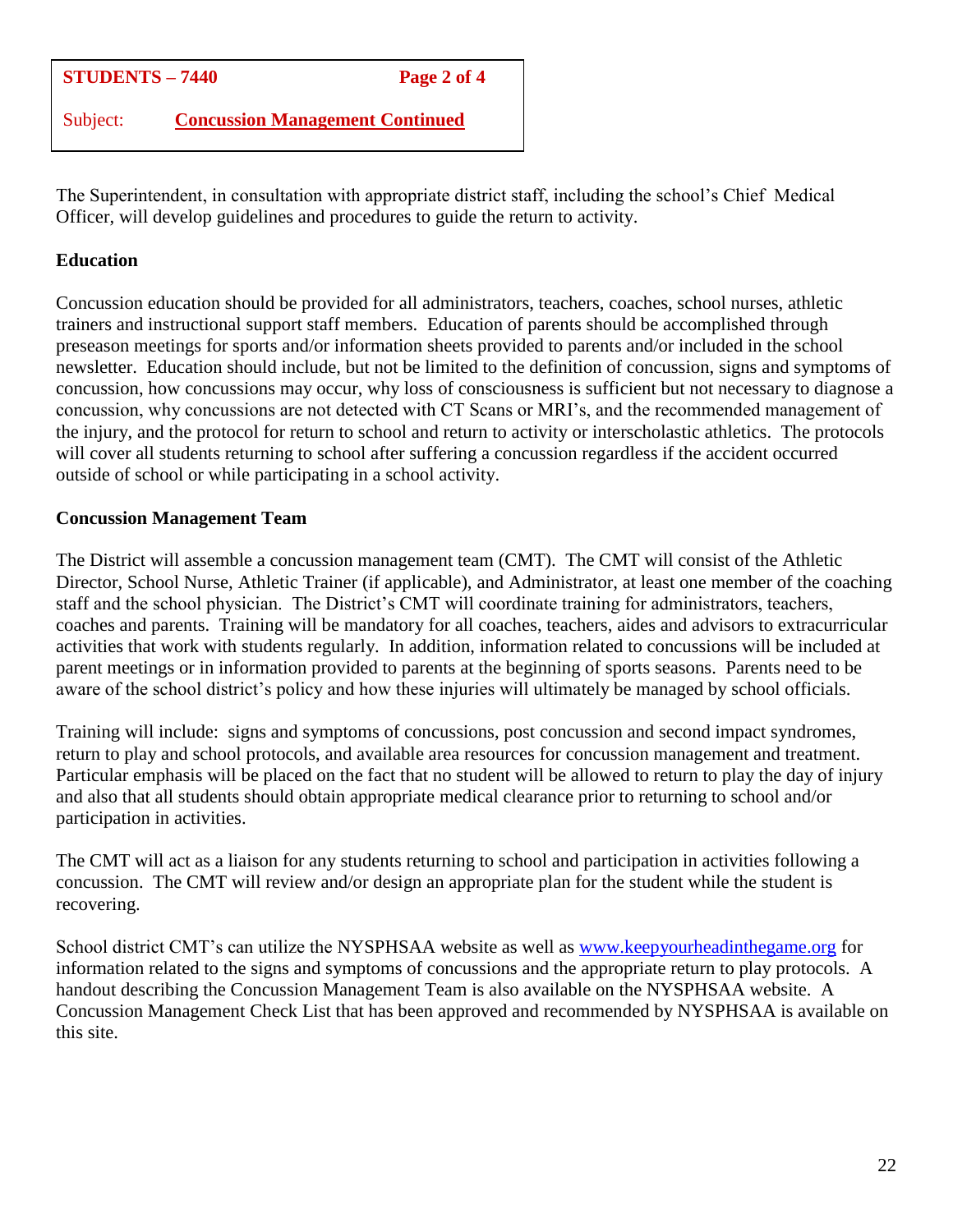#### **STUDENTS – 7440 Page 2 of 4**

Subject: **Concussion Management Continued**

The Superintendent, in consultation with appropriate district staff, including the school's Chief Medical Officer, will develop guidelines and procedures to guide the return to activity.

#### **Education**

Concussion education should be provided for all administrators, teachers, coaches, school nurses, athletic trainers and instructional support staff members. Education of parents should be accomplished through preseason meetings for sports and/or information sheets provided to parents and/or included in the school newsletter. Education should include, but not be limited to the definition of concussion, signs and symptoms of concussion, how concussions may occur, why loss of consciousness is sufficient but not necessary to diagnose a concussion, why concussions are not detected with CT Scans or MRI's, and the recommended management of the injury, and the protocol for return to school and return to activity or interscholastic athletics. The protocols will cover all students returning to school after suffering a concussion regardless if the accident occurred outside of school or while participating in a school activity.

#### **Concussion Management Team**

The District will assemble a concussion management team (CMT). The CMT will consist of the Athletic Director, School Nurse, Athletic Trainer (if applicable), and Administrator, at least one member of the coaching staff and the school physician. The District's CMT will coordinate training for administrators, teachers, coaches and parents. Training will be mandatory for all coaches, teachers, aides and advisors to extracurricular activities that work with students regularly. In addition, information related to concussions will be included at parent meetings or in information provided to parents at the beginning of sports seasons. Parents need to be aware of the school district's policy and how these injuries will ultimately be managed by school officials.

Training will include: signs and symptoms of concussions, post concussion and second impact syndromes, return to play and school protocols, and available area resources for concussion management and treatment. Particular emphasis will be placed on the fact that no student will be allowed to return to play the day of injury and also that all students should obtain appropriate medical clearance prior to returning to school and/or participation in activities.

The CMT will act as a liaison for any students returning to school and participation in activities following a concussion. The CMT will review and/or design an appropriate plan for the student while the student is recovering.

School district CMT's can utilize the NYSPHSAA website as well as [www.keepyourheadinthegame.org](http://www.keepyourheadinthegame.org/) for information related to the signs and symptoms of concussions and the appropriate return to play protocols. A handout describing the Concussion Management Team is also available on the NYSPHSAA website. A Concussion Management Check List that has been approved and recommended by NYSPHSAA is available on this site.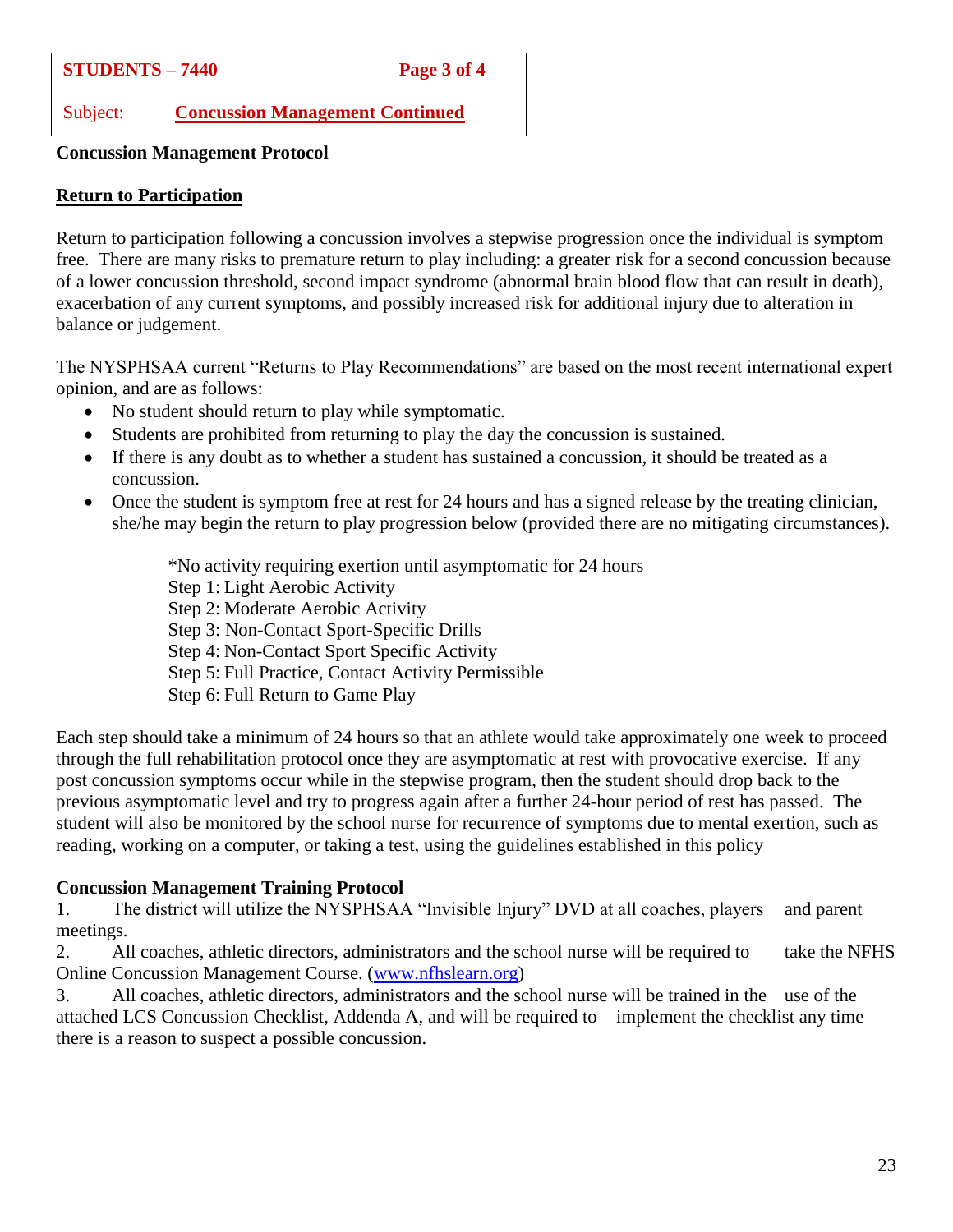Subject: **Concussion Management Continued**

**Concussion Management Protocol**

#### **Return to Participation**

Return to participation following a concussion involves a stepwise progression once the individual is symptom free. There are many risks to premature return to play including: a greater risk for a second concussion because of a lower concussion threshold, second impact syndrome (abnormal brain blood flow that can result in death), exacerbation of any current symptoms, and possibly increased risk for additional injury due to alteration in balance or judgement.

The NYSPHSAA current "Returns to Play Recommendations" are based on the most recent international expert opinion, and are as follows:

- No student should return to play while symptomatic.
- Students are prohibited from returning to play the day the concussion is sustained.
- If there is any doubt as to whether a student has sustained a concussion, it should be treated as a concussion.
- Once the student is symptom free at rest for 24 hours and has a signed release by the treating clinician, she/he may begin the return to play progression below (provided there are no mitigating circumstances).

\*No activity requiring exertion until asymptomatic for 24 hours Step 1: Light Aerobic Activity Step 2: Moderate Aerobic Activity Step 3: Non-Contact Sport-Specific Drills Step 4: Non-Contact Sport Specific Activity Step 5: Full Practice, Contact Activity Permissible Step 6: Full Return to Game Play

Each step should take a minimum of 24 hours so that an athlete would take approximately one week to proceed through the full rehabilitation protocol once they are asymptomatic at rest with provocative exercise. If any post concussion symptoms occur while in the stepwise program, then the student should drop back to the previous asymptomatic level and try to progress again after a further 24-hour period of rest has passed. The student will also be monitored by the school nurse for recurrence of symptoms due to mental exertion, such as reading, working on a computer, or taking a test, using the guidelines established in this policy

#### **Concussion Management Training Protocol**

1. The district will utilize the NYSPHSAA "Invisible Injury" DVD at all coaches, players and parent meetings.

2. All coaches, athletic directors, administrators and the school nurse will be required to take the NFHS Online Concussion Management Course. [\(www.nfhslearn.org\)](http://www.nfhslearn.org/)

3. All coaches, athletic directors, administrators and the school nurse will be trained in the use of the attached LCS Concussion Checklist, Addenda A, and will be required to implement the checklist any time there is a reason to suspect a possible concussion.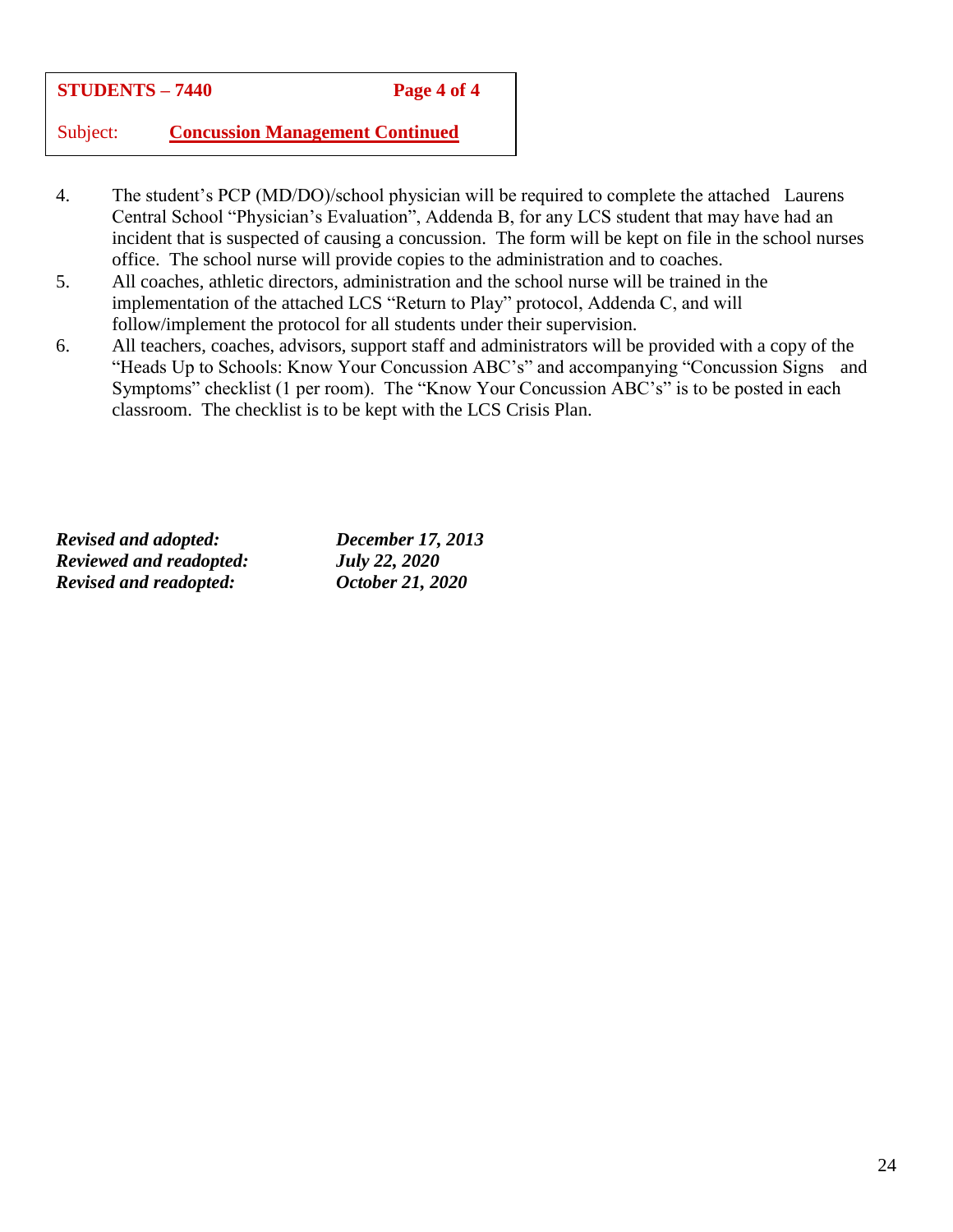#### **STUDENTS – 7440 Page 4 of 4**

Subject: **Concussion Management Continued**

- 4. The student's PCP (MD/DO)/school physician will be required to complete the attached Laurens Central School "Physician's Evaluation", Addenda B, for any LCS student that may have had an incident that is suspected of causing a concussion. The form will be kept on file in the school nurses office. The school nurse will provide copies to the administration and to coaches.
- 5. All coaches, athletic directors, administration and the school nurse will be trained in the implementation of the attached LCS "Return to Play" protocol, Addenda C, and will follow/implement the protocol for all students under their supervision.
- 6. All teachers, coaches, advisors, support staff and administrators will be provided with a copy of the "Heads Up to Schools: Know Your Concussion ABC's" and accompanying "Concussion Signs and Symptoms" checklist (1 per room). The "Know Your Concussion ABC's" is to be posted in each classroom. The checklist is to be kept with the LCS Crisis Plan.

*Revised and adopted: December 17, 2013 Reviewed and readopted: July 22, 2020 Revised and readopted: October 21, 2020*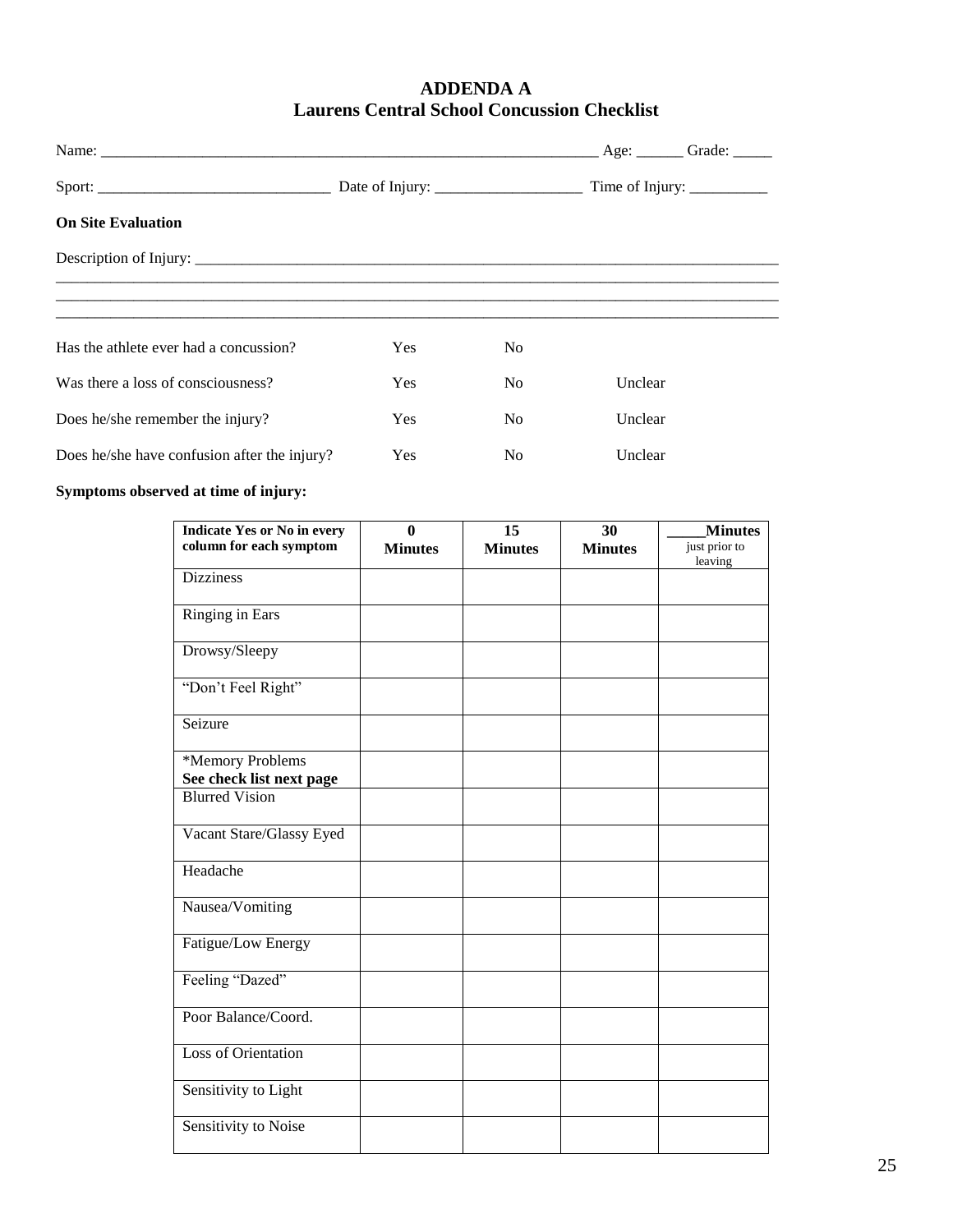#### **ADDENDA A Laurens Central School Concussion Checklist**

|                                              |            |                | Time of Injury: __________ |
|----------------------------------------------|------------|----------------|----------------------------|
| <b>On Site Evaluation</b>                    |            |                |                            |
|                                              |            |                |                            |
|                                              |            |                |                            |
|                                              |            |                |                            |
| Has the athlete ever had a concussion?       | <b>Yes</b> | N <sub>0</sub> |                            |
| Was there a loss of consciousness?           | <b>Yes</b> | N <sub>0</sub> | Unclear                    |
| Does he/she remember the injury?             | <b>Yes</b> | N <sub>0</sub> | Unclear                    |
| Does he/she have confusion after the injury? | Yes        | N <sub>0</sub> | Unclear                    |

#### **Symptoms observed at time of injury:**

| <b>Indicate Yes or No in every</b> | $\bf{0}$       | 15             | 30             | <b>Minutes</b>           |
|------------------------------------|----------------|----------------|----------------|--------------------------|
| column for each symptom            | <b>Minutes</b> | <b>Minutes</b> | <b>Minutes</b> | just prior to<br>leaving |
| <b>Dizziness</b>                   |                |                |                |                          |
| <b>Ringing in Ears</b>             |                |                |                |                          |
| Drowsy/Sleepy                      |                |                |                |                          |
| "Don't Feel Right"                 |                |                |                |                          |
| Seizure                            |                |                |                |                          |
| *Memory Problems                   |                |                |                |                          |
| See check list next page           |                |                |                |                          |
| <b>Blurred Vision</b>              |                |                |                |                          |
| Vacant Stare/Glassy Eyed           |                |                |                |                          |
| Headache                           |                |                |                |                          |
| Nausea/Vomiting                    |                |                |                |                          |
| Fatigue/Low Energy                 |                |                |                |                          |
| Feeling "Dazed"                    |                |                |                |                          |
| Poor Balance/Coord.                |                |                |                |                          |
| <b>Loss of Orientation</b>         |                |                |                |                          |
| Sensitivity to Light               |                |                |                |                          |
| Sensitivity to Noise               |                |                |                |                          |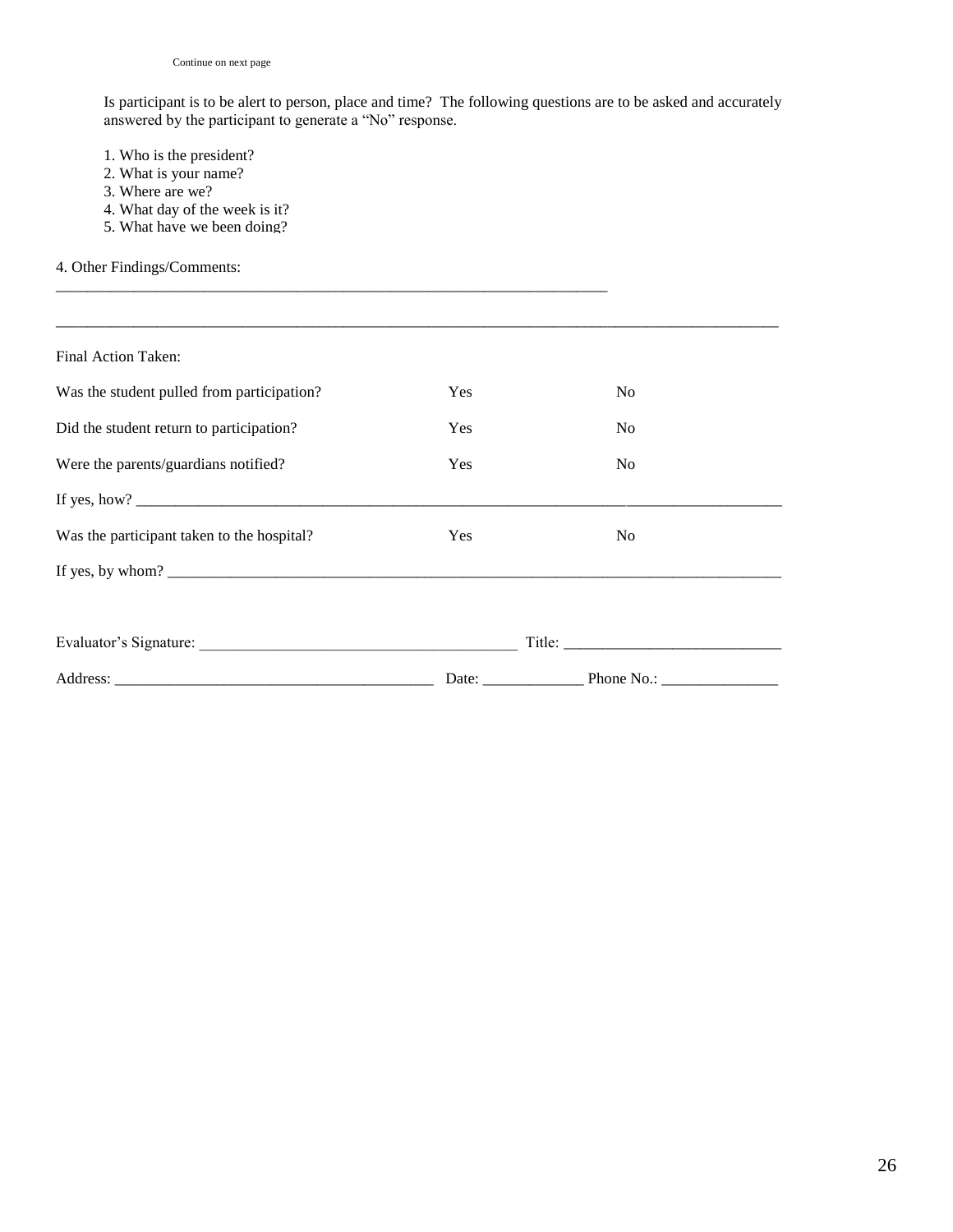Is participant is to be alert to person, place and time? The following questions are to be asked and accurately answered by the participant to generate a "No" response.

- 1. Who is the president?
- 2. What is your name?
- 3. Where are we?
- 4. What day of the week is it?
- 5. What have we been doing?

#### 4. Other Findings/Comments:

| Final Action Taken:                        |                                                          |                   |  |
|--------------------------------------------|----------------------------------------------------------|-------------------|--|
| Was the student pulled from participation? | Yes                                                      | N <sub>0</sub>    |  |
| Did the student return to participation?   | Yes                                                      | No                |  |
| Were the parents/guardians notified?       | Yes                                                      | N <sub>0</sub>    |  |
|                                            |                                                          |                   |  |
| Was the participant taken to the hospital? | Yes                                                      | N <sub>0</sub>    |  |
|                                            |                                                          |                   |  |
|                                            |                                                          |                   |  |
|                                            |                                                          |                   |  |
| Address:                                   | Date: $\frac{1}{\sqrt{1-\frac{1}{2}} \cdot \frac{1}{2}}$ | Phone No.: $\_\_$ |  |

\_\_\_\_\_\_\_\_\_\_\_\_\_\_\_\_\_\_\_\_\_\_\_\_\_\_\_\_\_\_\_\_\_\_\_\_\_\_\_\_\_\_\_\_\_\_\_\_\_\_\_\_\_\_\_\_\_\_\_\_\_\_\_\_\_\_\_\_\_\_\_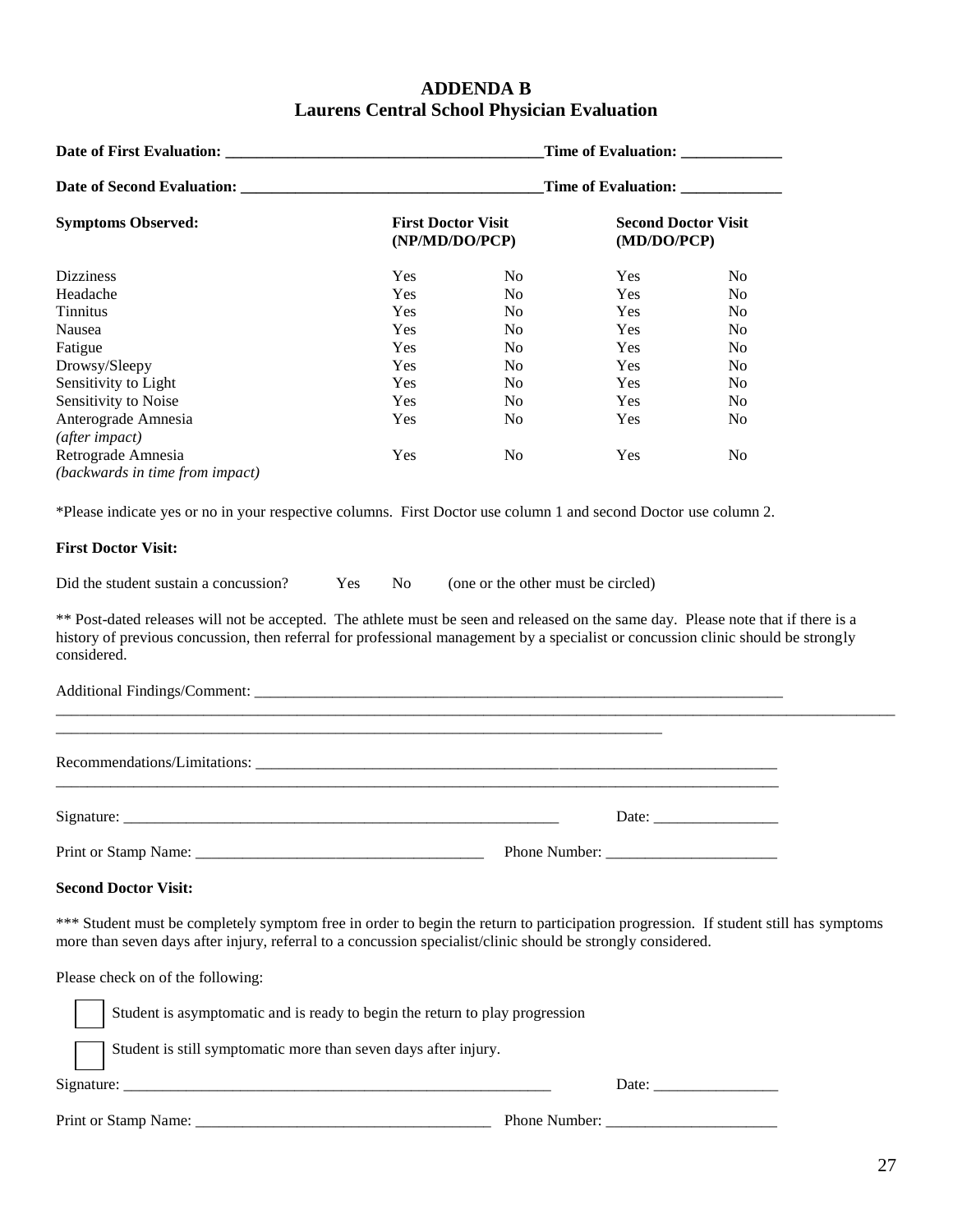#### **ADDENDA B Laurens Central School Physician Evaluation**

|                                                                                                                                                                                                                                                      |                                             |                                    | Time of Evaluation: ______________        |                                                        |  |
|------------------------------------------------------------------------------------------------------------------------------------------------------------------------------------------------------------------------------------------------------|---------------------------------------------|------------------------------------|-------------------------------------------|--------------------------------------------------------|--|
|                                                                                                                                                                                                                                                      |                                             |                                    | Time of Evaluation: _____________         |                                                        |  |
| <b>Symptoms Observed:</b>                                                                                                                                                                                                                            | <b>First Doctor Visit</b><br>(NP/MD/DO/PCP) |                                    | <b>Second Doctor Visit</b><br>(MD/DO/PCP) |                                                        |  |
| <b>Dizziness</b>                                                                                                                                                                                                                                     | Yes                                         | N <sub>o</sub>                     | <b>Yes</b>                                | No.                                                    |  |
| Headache                                                                                                                                                                                                                                             | Yes                                         | N <sub>0</sub>                     | Yes                                       | N <sub>o</sub>                                         |  |
| <b>Tinnitus</b>                                                                                                                                                                                                                                      | Yes                                         | N <sub>0</sub>                     | Yes                                       | No                                                     |  |
| Nausea                                                                                                                                                                                                                                               | Yes                                         | N <sub>o</sub>                     | Yes                                       | N <sub>0</sub>                                         |  |
| Fatigue                                                                                                                                                                                                                                              | Yes                                         | N <sub>o</sub>                     | <b>Yes</b>                                | N <sub>0</sub>                                         |  |
| Drowsy/Sleepy                                                                                                                                                                                                                                        | Yes                                         | N <sub>o</sub>                     | Yes                                       | N <sub>0</sub>                                         |  |
| Sensitivity to Light                                                                                                                                                                                                                                 | Yes                                         | N <sub>o</sub>                     | Yes                                       | N <sub>0</sub>                                         |  |
| Sensitivity to Noise                                                                                                                                                                                                                                 | Yes                                         | N <sub>o</sub>                     | Yes                                       | N <sub>o</sub>                                         |  |
| Anterograde Amnesia                                                                                                                                                                                                                                  | Yes                                         | N <sub>0</sub>                     | Yes                                       | No                                                     |  |
| (after impact)                                                                                                                                                                                                                                       |                                             |                                    |                                           |                                                        |  |
| Retrograde Amnesia                                                                                                                                                                                                                                   | Yes                                         | N <sub>0</sub>                     | Yes                                       | N <sub>0</sub>                                         |  |
| (backwards in time from impact)                                                                                                                                                                                                                      |                                             |                                    |                                           |                                                        |  |
| *Please indicate yes or no in your respective columns. First Doctor use column 1 and second Doctor use column 2.                                                                                                                                     |                                             |                                    |                                           |                                                        |  |
| <b>First Doctor Visit:</b>                                                                                                                                                                                                                           |                                             |                                    |                                           |                                                        |  |
| Did the student sustain a concussion?                                                                                                                                                                                                                | Yes<br>No                                   | (one or the other must be circled) |                                           |                                                        |  |
| considered.                                                                                                                                                                                                                                          |                                             |                                    |                                           |                                                        |  |
|                                                                                                                                                                                                                                                      |                                             |                                    |                                           |                                                        |  |
|                                                                                                                                                                                                                                                      |                                             |                                    |                                           | Date:                                                  |  |
|                                                                                                                                                                                                                                                      |                                             |                                    |                                           |                                                        |  |
| <b>Second Doctor Visit:</b>                                                                                                                                                                                                                          |                                             |                                    |                                           |                                                        |  |
| *** Student must be completely symptom free in order to begin the return to participation progression. If student still has symptoms<br>more than seven days after injury, referral to a concussion specialist/clinic should be strongly considered. |                                             |                                    |                                           |                                                        |  |
| Please check on of the following:                                                                                                                                                                                                                    |                                             |                                    |                                           |                                                        |  |
| Student is asymptomatic and is ready to begin the return to play progression                                                                                                                                                                         |                                             |                                    |                                           |                                                        |  |
| Student is still symptomatic more than seven days after injury.                                                                                                                                                                                      |                                             |                                    |                                           |                                                        |  |
|                                                                                                                                                                                                                                                      |                                             |                                    |                                           | Date: $\frac{1}{\sqrt{1-\frac{1}{2}}\cdot\frac{1}{2}}$ |  |
|                                                                                                                                                                                                                                                      |                                             |                                    |                                           |                                                        |  |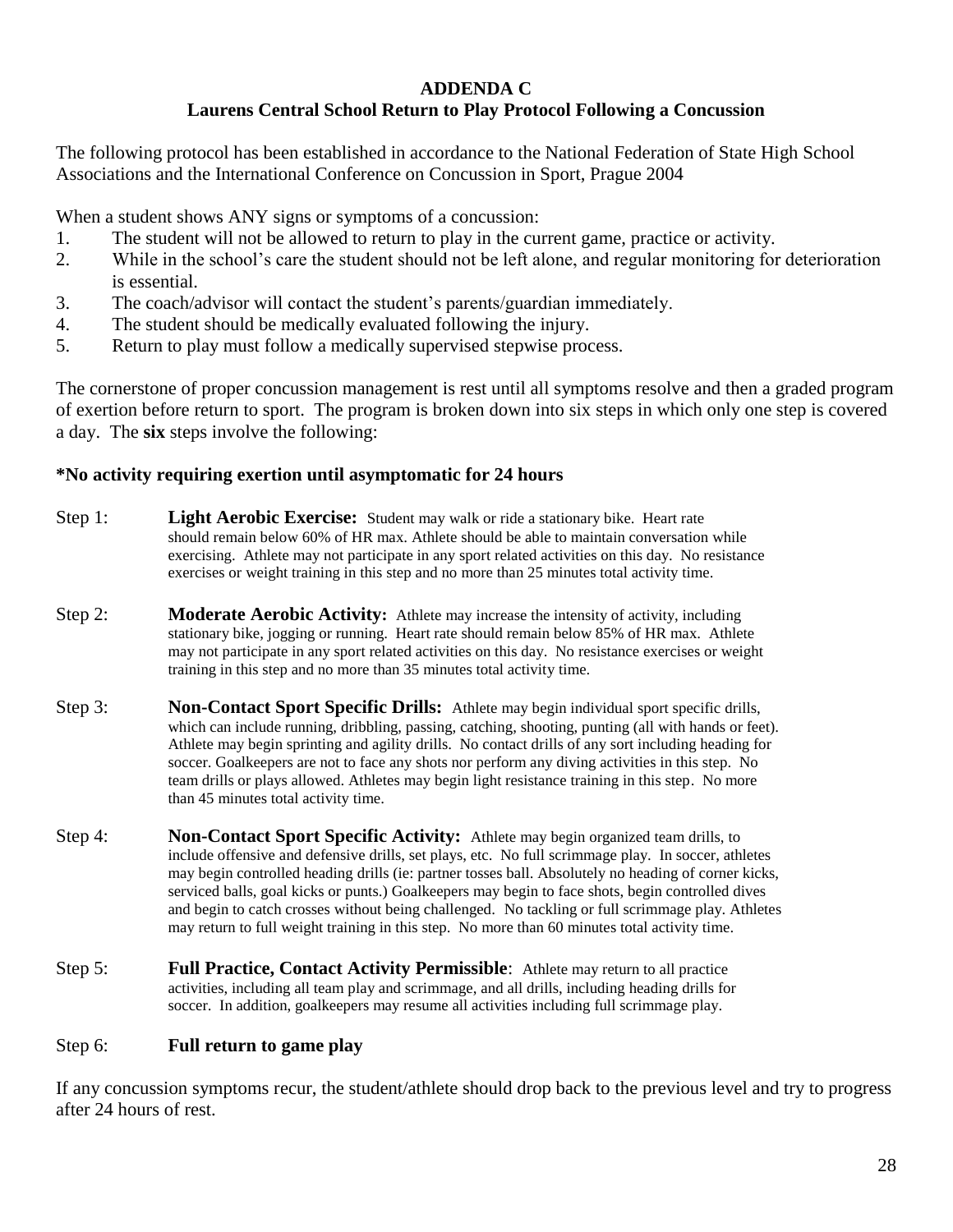#### **ADDENDA C**

#### **Laurens Central School Return to Play Protocol Following a Concussion**

The following protocol has been established in accordance to the National Federation of State High School Associations and the International Conference on Concussion in Sport, Prague 2004

When a student shows ANY signs or symptoms of a concussion:

- 1. The student will not be allowed to return to play in the current game, practice or activity.
- 2. While in the school's care the student should not be left alone, and regular monitoring for deterioration is essential.
- 3. The coach/advisor will contact the student's parents/guardian immediately.
- 4. The student should be medically evaluated following the injury.
- 5. Return to play must follow a medically supervised stepwise process.

The cornerstone of proper concussion management is rest until all symptoms resolve and then a graded program of exertion before return to sport. The program is broken down into six steps in which only one step is covered a day. The **six** steps involve the following:

#### **\*No activity requiring exertion until asymptomatic for 24 hours**

- Step 1: **Light Aerobic Exercise:** Student may walk or ride a stationary bike. Heart rate should remain below 60% of HR max. Athlete should be able to maintain conversation while exercising. Athlete may not participate in any sport related activities on this day. No resistance exercises or weight training in this step and no more than 25 minutes total activity time.
- Step 2: **Moderate Aerobic Activity:** Athlete may increase the intensity of activity, including stationary bike, jogging or running. Heart rate should remain below 85% of HR max. Athlete may not participate in any sport related activities on this day. No resistance exercises or weight training in this step and no more than 35 minutes total activity time.
- Step 3: **Non-Contact Sport Specific Drills:** Athlete may begin individual sport specific drills, which can include running, dribbling, passing, catching, shooting, punting (all with hands or feet). Athlete may begin sprinting and agility drills. No contact drills of any sort including heading for soccer. Goalkeepers are not to face any shots nor perform any diving activities in this step. No team drills or plays allowed. Athletes may begin light resistance training in this step. No more than 45 minutes total activity time.
- Step 4: **Non-Contact Sport Specific Activity:** Athlete may begin organized team drills, to include offensive and defensive drills, set plays, etc. No full scrimmage play. In soccer, athletes may begin controlled heading drills (ie: partner tosses ball. Absolutely no heading of corner kicks, serviced balls, goal kicks or punts.) Goalkeepers may begin to face shots, begin controlled dives and begin to catch crosses without being challenged. No tackling or full scrimmage play. Athletes may return to full weight training in this step. No more than 60 minutes total activity time.
- Step 5: **Full Practice, Contact Activity Permissible**: Athlete may return to all practice activities, including all team play and scrimmage, and all drills, including heading drills for soccer. In addition, goalkeepers may resume all activities including full scrimmage play.

#### Step 6: **Full return to game play**

If any concussion symptoms recur, the student/athlete should drop back to the previous level and try to progress after 24 hours of rest.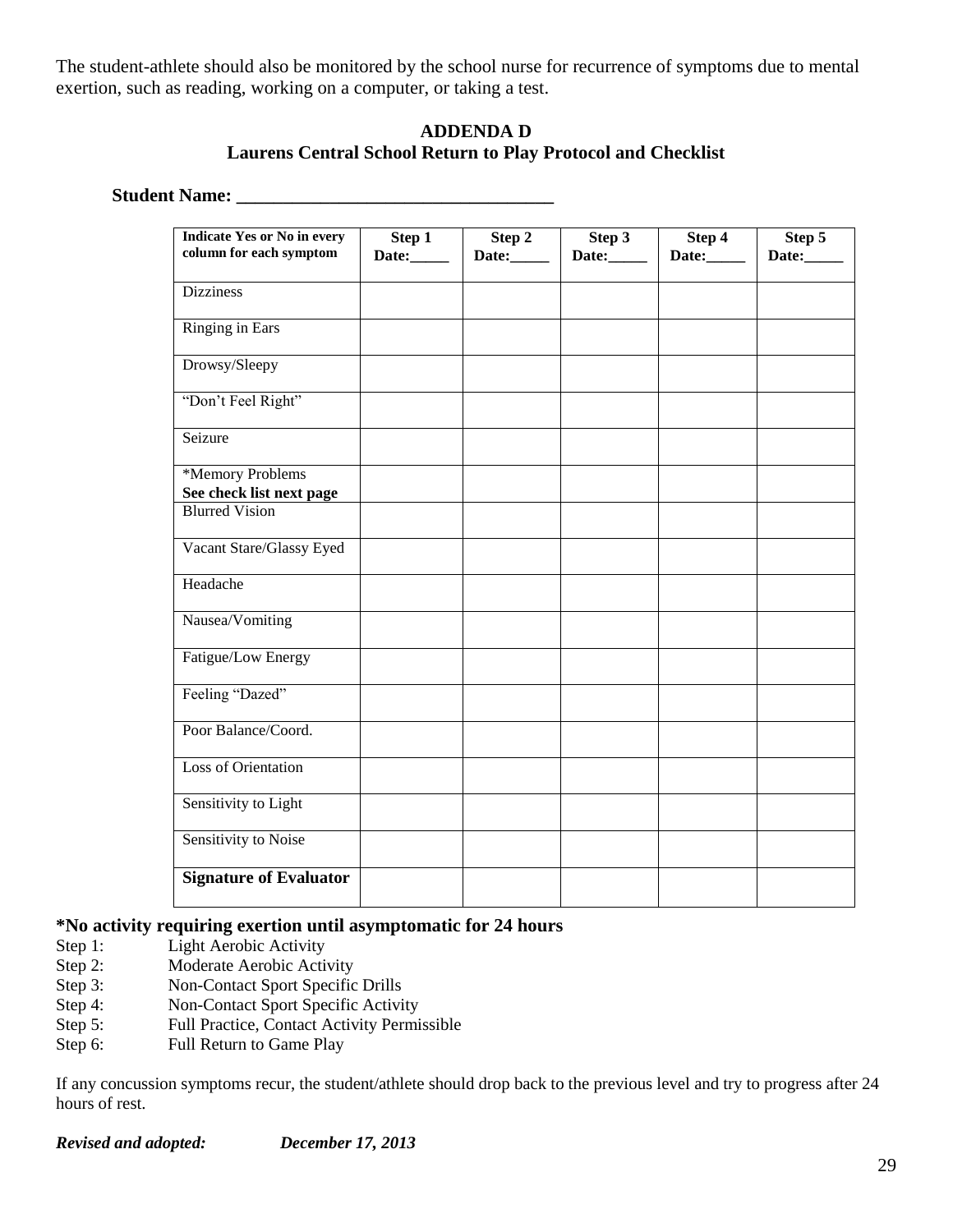The student-athlete should also be monitored by the school nurse for recurrence of symptoms due to mental exertion, such as reading, working on a computer, or taking a test.

#### **ADDENDA D Laurens Central School Return to Play Protocol and Checklist**

#### **Student Name: \_\_\_\_\_\_\_\_\_\_\_\_\_\_\_\_\_\_\_\_\_\_\_\_\_\_\_\_\_\_\_\_\_\_**

| <b>Indicate Yes or No in every</b><br>column for each symptom | Step 1<br>Date: | Step 2<br>Date: | Step 3<br>Date: | Step 4<br>Date: | Step 5<br>Date: |
|---------------------------------------------------------------|-----------------|-----------------|-----------------|-----------------|-----------------|
| <b>Dizziness</b>                                              |                 |                 |                 |                 |                 |
| Ringing in Ears                                               |                 |                 |                 |                 |                 |
| Drowsy/Sleepy                                                 |                 |                 |                 |                 |                 |
| "Don't Feel Right"                                            |                 |                 |                 |                 |                 |
| Seizure                                                       |                 |                 |                 |                 |                 |
| *Memory Problems<br>See check list next page                  |                 |                 |                 |                 |                 |
| <b>Blurred Vision</b>                                         |                 |                 |                 |                 |                 |
| Vacant Stare/Glassy Eyed                                      |                 |                 |                 |                 |                 |
| Headache                                                      |                 |                 |                 |                 |                 |
| Nausea/Vomiting                                               |                 |                 |                 |                 |                 |
| Fatigue/Low Energy                                            |                 |                 |                 |                 |                 |
| Feeling "Dazed"                                               |                 |                 |                 |                 |                 |
| Poor Balance/Coord.                                           |                 |                 |                 |                 |                 |
| Loss of Orientation                                           |                 |                 |                 |                 |                 |
| Sensitivity to Light                                          |                 |                 |                 |                 |                 |
| Sensitivity to Noise                                          |                 |                 |                 |                 |                 |
| <b>Signature of Evaluator</b>                                 |                 |                 |                 |                 |                 |

#### **\*No activity requiring exertion until asymptomatic for 24 hours**

- Step 1: Light Aerobic Activity
- Step 2: Moderate Aerobic Activity<br>Step 3: Non-Contact Sport Specific
- Non-Contact Sport Specific Drills
- Step 4: Non-Contact Sport Specific Activity
- Step 5: Full Practice, Contact Activity Permissible
- Step 6: Full Return to Game Play

If any concussion symptoms recur, the student/athlete should drop back to the previous level and try to progress after 24 hours of rest.

*Revised and adopted: December 17, 2013*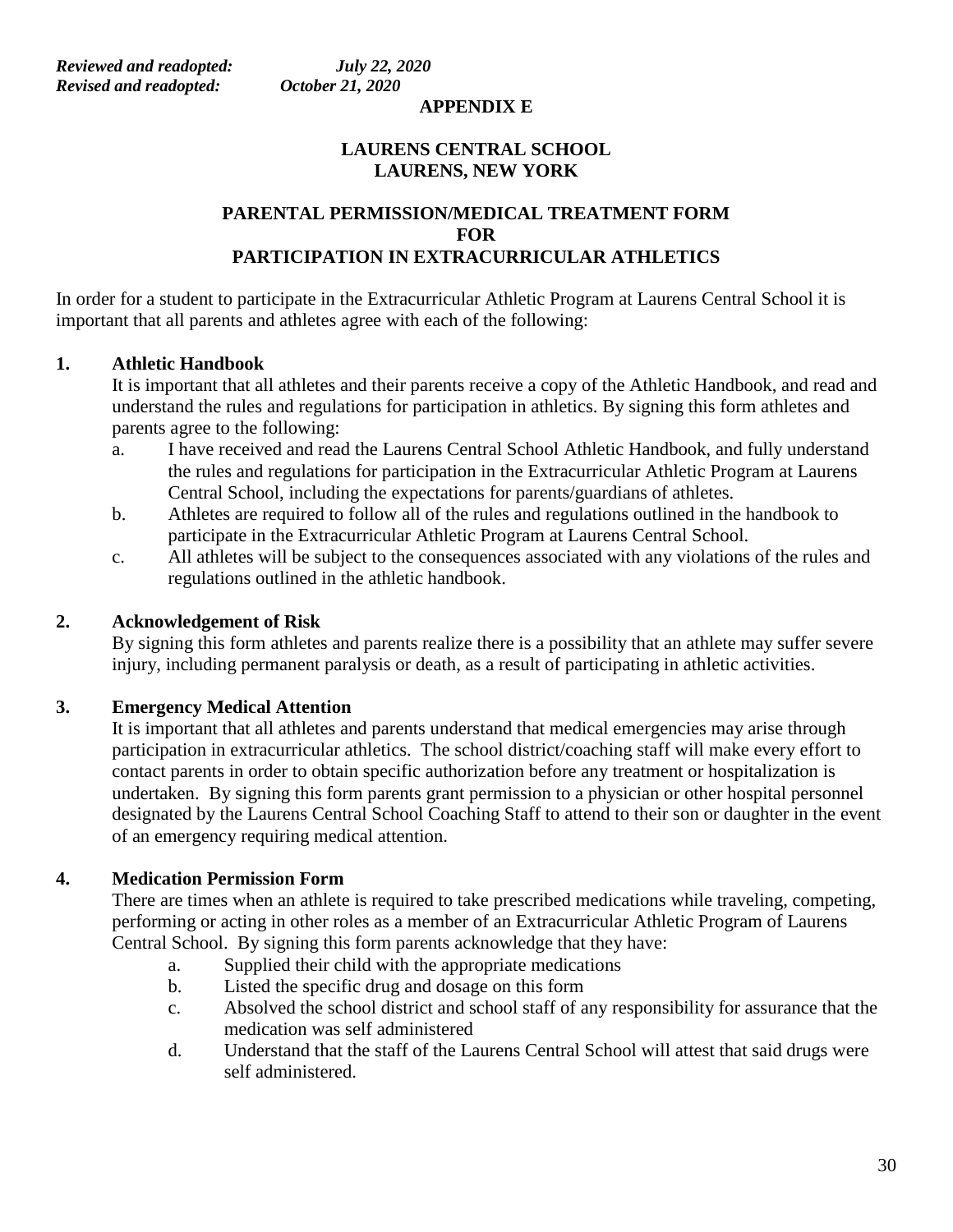#### **APPENDIX E**

#### **LAURENS CENTRAL SCHOOL LAURENS, NEW YORK**

#### **PARENTAL PERMISSION/MEDICAL TREATMENT FORM FOR PARTICIPATION IN EXTRACURRICULAR ATHLETICS**

In order for a student to participate in the Extracurricular Athletic Program at Laurens Central School it is important that all parents and athletes agree with each of the following:

#### **1. Athletic Handbook**

It is important that all athletes and their parents receive a copy of the Athletic Handbook, and read and understand the rules and regulations for participation in athletics. By signing this form athletes and parents agree to the following:

- a. I have received and read the Laurens Central School Athletic Handbook, and fully understand the rules and regulations for participation in the Extracurricular Athletic Program at Laurens Central School, including the expectations for parents/guardians of athletes.
- b. Athletes are required to follow all of the rules and regulations outlined in the handbook to participate in the Extracurricular Athletic Program at Laurens Central School.
- c. All athletes will be subject to the consequences associated with any violations of the rules and regulations outlined in the athletic handbook.

#### **2. Acknowledgement of Risk**

By signing this form athletes and parents realize there is a possibility that an athlete may suffer severe injury, including permanent paralysis or death, as a result of participating in athletic activities.

#### **3. Emergency Medical Attention**

It is important that all athletes and parents understand that medical emergencies may arise through participation in extracurricular athletics. The school district/coaching staff will make every effort to contact parents in order to obtain specific authorization before any treatment or hospitalization is undertaken. By signing this form parents grant permission to a physician or other hospital personnel designated by the Laurens Central School Coaching Staff to attend to their son or daughter in the event of an emergency requiring medical attention.

#### **4. Medication Permission Form**

There are times when an athlete is required to take prescribed medications while traveling, competing, performing or acting in other roles as a member of an Extracurricular Athletic Program of Laurens Central School. By signing this form parents acknowledge that they have:

- a. Supplied their child with the appropriate medications
- b. Listed the specific drug and dosage on this form
- c. Absolved the school district and school staff of any responsibility for assurance that the medication was self administered
- d. Understand that the staff of the Laurens Central School will attest that said drugs were self administered.